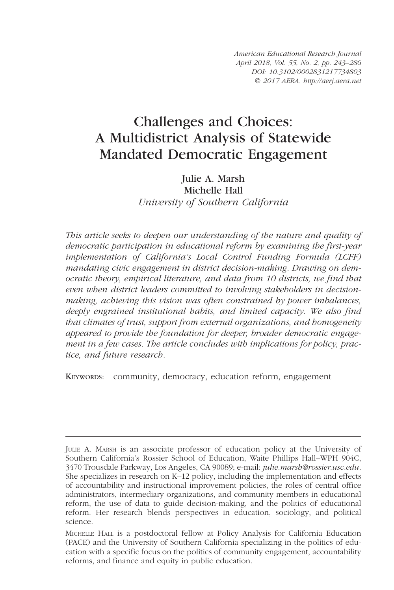American Educational Research Journal April 2018, Vol. 55, No. 2, pp. 243–286 DOI: [10.3102/0002831217734803](https://doi.org/10.3102/0002831217734803) © 2017 AERA. http://aerj.aera.net

# Challenges and Choices: A Multidistrict Analysis of Statewide Mandated Democratic Engagement

Julie A. Marsh Michelle Hall University of Southern California

This article seeks to deepen our understanding of the nature and quality of democratic participation in educational reform by examining the first-year implementation of California's Local Control Funding Formula (LCFF) mandating civic engagement in district decision-making. Drawing on democratic theory, empirical literature, and data from 10 districts, we find that even when district leaders committed to involving stakeholders in decisionmaking, achieving this vision was often constrained by power imbalances, deeply engrained institutional habits, and limited capacity. We also find that climates of trust, support from external organizations, and homogeneity appeared to provide the foundation for deeper, broader democratic engagement in a few cases. The article concludes with implications for policy, practice, and future research.

KEYWORDS: community, democracy, education reform, engagement

JULIE A. MARSH is an associate professor of education policy at the University of Southern California's Rossier School of Education, Waite Phillips Hall–WPH 904C, 3470 Trousdale Parkway, Los Angeles, CA 90089; e-mail: julie.marsh@rossier.usc.edu. She specializes in research on K–12 policy, including the implementation and effects of accountability and instructional improvement policies, the roles of central office administrators, intermediary organizations, and community members in educational reform, the use of data to guide decision-making, and the politics of educational reform. Her research blends perspectives in education, sociology, and political science.

MICHELLE HALL is a postdoctoral fellow at Policy Analysis for California Education (PACE) and the University of Southern California specializing in the politics of education with a specific focus on the politics of community engagement, accountability reforms, and finance and equity in public education.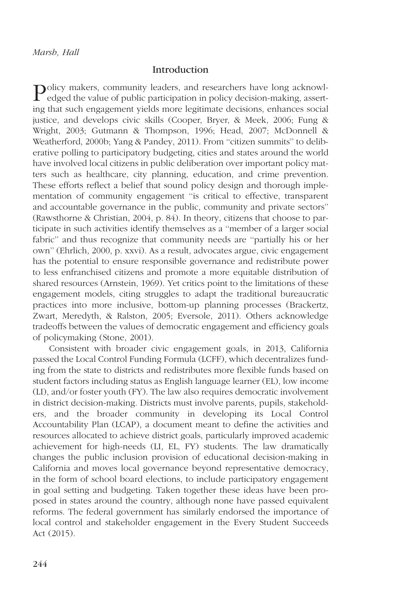## Introduction

Policy makers, community leaders, and researchers have long acknowl-edged the value of public participation in policy decision-making, asserting that such engagement yields more legitimate decisions, enhances social justice, and develops civic skills (Cooper, Bryer, & Meek, 2006; Fung & Wright, 2003; Gutmann & Thompson, 1996; Head, 2007; McDonnell & Weatherford, 2000b; Yang & Pandey, 2011). From ''citizen summits'' to deliberative polling to participatory budgeting, cities and states around the world have involved local citizens in public deliberation over important policy matters such as healthcare, city planning, education, and crime prevention. These efforts reflect a belief that sound policy design and thorough implementation of community engagement ''is critical to effective, transparent and accountable governance in the public, community and private sectors'' (Rawsthorne & Christian, 2004, p. 84). In theory, citizens that choose to participate in such activities identify themselves as a ''member of a larger social fabric'' and thus recognize that community needs are ''partially his or her own'' (Ehrlich, 2000, p. xxvi). As a result, advocates argue, civic engagement has the potential to ensure responsible governance and redistribute power to less enfranchised citizens and promote a more equitable distribution of shared resources (Arnstein, 1969). Yet critics point to the limitations of these engagement models, citing struggles to adapt the traditional bureaucratic practices into more inclusive, bottom-up planning processes (Brackertz, Zwart, Meredyth, & Ralston, 2005; Eversole, 2011). Others acknowledge tradeoffs between the values of democratic engagement and efficiency goals of policymaking (Stone, 2001).

Consistent with broader civic engagement goals, in 2013, California passed the Local Control Funding Formula (LCFF), which decentralizes funding from the state to districts and redistributes more flexible funds based on student factors including status as English language learner (EL), low income (LI), and/or foster youth (FY). The law also requires democratic involvement in district decision-making. Districts must involve parents, pupils, stakeholders, and the broader community in developing its Local Control Accountability Plan (LCAP), a document meant to define the activities and resources allocated to achieve district goals, particularly improved academic achievement for high-needs (LI, EL, FY) students. The law dramatically changes the public inclusion provision of educational decision-making in California and moves local governance beyond representative democracy, in the form of school board elections, to include participatory engagement in goal setting and budgeting. Taken together these ideas have been proposed in states around the country, although none have passed equivalent reforms. The federal government has similarly endorsed the importance of local control and stakeholder engagement in the Every Student Succeeds Act (2015).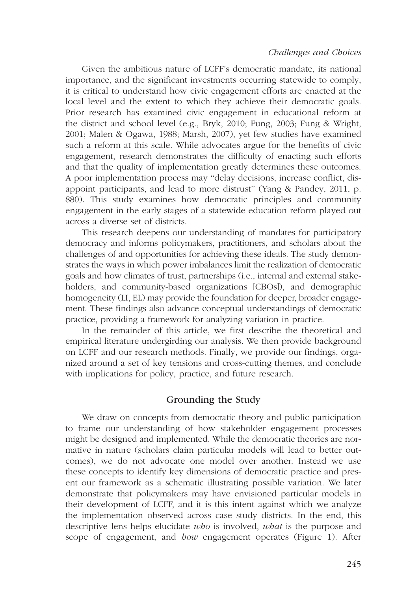Given the ambitious nature of LCFF's democratic mandate, its national importance, and the significant investments occurring statewide to comply, it is critical to understand how civic engagement efforts are enacted at the local level and the extent to which they achieve their democratic goals. Prior research has examined civic engagement in educational reform at the district and school level (e.g., Bryk, 2010; Fung, 2003; Fung & Wright, 2001; Malen & Ogawa, 1988; Marsh, 2007), yet few studies have examined such a reform at this scale. While advocates argue for the benefits of civic engagement, research demonstrates the difficulty of enacting such efforts and that the quality of implementation greatly determines these outcomes. A poor implementation process may ''delay decisions, increase conflict, disappoint participants, and lead to more distrust'' (Yang & Pandey, 2011, p. 880). This study examines how democratic principles and community engagement in the early stages of a statewide education reform played out across a diverse set of districts.

This research deepens our understanding of mandates for participatory democracy and informs policymakers, practitioners, and scholars about the challenges of and opportunities for achieving these ideals. The study demonstrates the ways in which power imbalances limit the realization of democratic goals and how climates of trust, partnerships (i.e., internal and external stakeholders, and community-based organizations [CBOs]), and demographic homogeneity (LI, EL) may provide the foundation for deeper, broader engagement. These findings also advance conceptual understandings of democratic practice, providing a framework for analyzing variation in practice.

In the remainder of this article, we first describe the theoretical and empirical literature undergirding our analysis. We then provide background on LCFF and our research methods. Finally, we provide our findings, organized around a set of key tensions and cross-cutting themes, and conclude with implications for policy, practice, and future research.

## Grounding the Study

We draw on concepts from democratic theory and public participation to frame our understanding of how stakeholder engagement processes might be designed and implemented. While the democratic theories are normative in nature (scholars claim particular models will lead to better outcomes), we do not advocate one model over another. Instead we use these concepts to identify key dimensions of democratic practice and present our framework as a schematic illustrating possible variation. We later demonstrate that policymakers may have envisioned particular models in their development of LCFF, and it is this intent against which we analyze the implementation observed across case study districts. In the end, this descriptive lens helps elucidate who is involved, what is the purpose and scope of engagement, and *how* engagement operates (Figure 1). After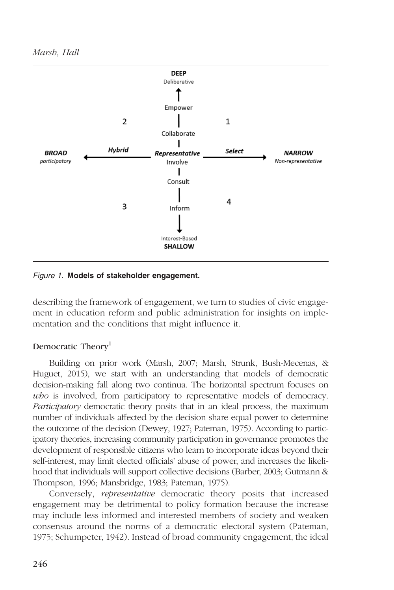

Figure 1. Models of stakeholder engagement.

describing the framework of engagement, we turn to studies of civic engagement in education reform and public administration for insights on implementation and the conditions that might influence it.

## Democratic Theory<sup>1</sup>

Building on prior work (Marsh, 2007; Marsh, Strunk, Bush-Mecenas, & Huguet, 2015), we start with an understanding that models of democratic decision-making fall along two continua. The horizontal spectrum focuses on who is involved, from participatory to representative models of democracy. Participatory democratic theory posits that in an ideal process, the maximum number of individuals affected by the decision share equal power to determine the outcome of the decision (Dewey, 1927; Pateman, 1975). According to participatory theories, increasing community participation in governance promotes the development of responsible citizens who learn to incorporate ideas beyond their self-interest, may limit elected officials' abuse of power, and increases the likelihood that individuals will support collective decisions (Barber, 2003; Gutmann & Thompson, 1996; Mansbridge, 1983; Pateman, 1975).

Conversely, representative democratic theory posits that increased engagement may be detrimental to policy formation because the increase may include less informed and interested members of society and weaken consensus around the norms of a democratic electoral system (Pateman, 1975; Schumpeter, 1942). Instead of broad community engagement, the ideal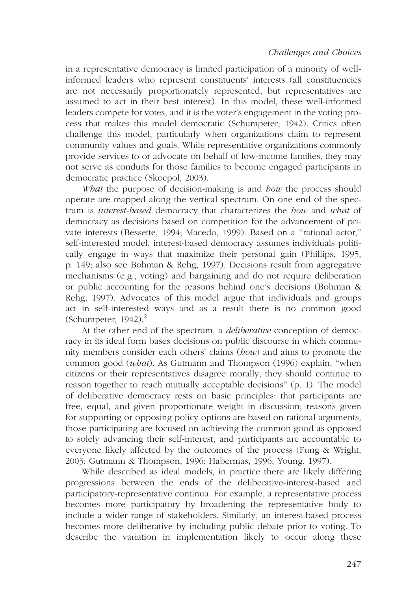in a representative democracy is limited participation of a minority of wellinformed leaders who represent constituents' interests (all constituencies are not necessarily proportionately represented, but representatives are assumed to act in their best interest). In this model, these well-informed leaders compete for votes, and it is the voter's engagement in the voting process that makes this model democratic (Schumpeter; 1942). Critics often challenge this model, particularly when organizations claim to represent community values and goals. While representative organizations commonly provide services to or advocate on behalf of low-income families, they may not serve as conduits for those families to become engaged participants in democratic practice (Skocpol, 2003).

What the purpose of decision-making is and how the process should operate are mapped along the vertical spectrum. On one end of the spectrum is *interest-based* democracy that characterizes the *how* and *what* of democracy as decisions based on competition for the advancement of private interests (Bessette, 1994; Macedo, 1999). Based on a ''rational actor,'' self-interested model, interest-based democracy assumes individuals politically engage in ways that maximize their personal gain (Phillips, 1995, p. 149; also see Bohman & Rehg, 1997). Decisions result from aggregative mechanisms (e.g., voting) and bargaining and do not require deliberation or public accounting for the reasons behind one's decisions (Bohman & Rehg, 1997). Advocates of this model argue that individuals and groups act in self-interested ways and as a result there is no common good (Schumpeter,  $1942$ ).<sup>2</sup>

At the other end of the spectrum, a *deliberative* conception of democracy in its ideal form bases decisions on public discourse in which community members consider each others' claims ( $bow$ ) and aims to promote the common good (what). As Gutmann and Thompson (1996) explain, ''when citizens or their representatives disagree morally, they should continue to reason together to reach mutually acceptable decisions'' (p. 1). The model of deliberative democracy rests on basic principles: that participants are free, equal, and given proportionate weight in discussion; reasons given for supporting or opposing policy options are based on rational arguments; those participating are focused on achieving the common good as opposed to solely advancing their self-interest; and participants are accountable to everyone likely affected by the outcomes of the process (Fung & Wright, 2003; Gutmann & Thompson, 1996; Habermas, 1996; Young, 1997).

While described as ideal models, in practice there are likely differing progressions between the ends of the deliberative-interest-based and participatory-representative continua. For example, a representative process becomes more participatory by broadening the representative body to include a wider range of stakeholders. Similarly, an interest-based process becomes more deliberative by including public debate prior to voting. To describe the variation in implementation likely to occur along these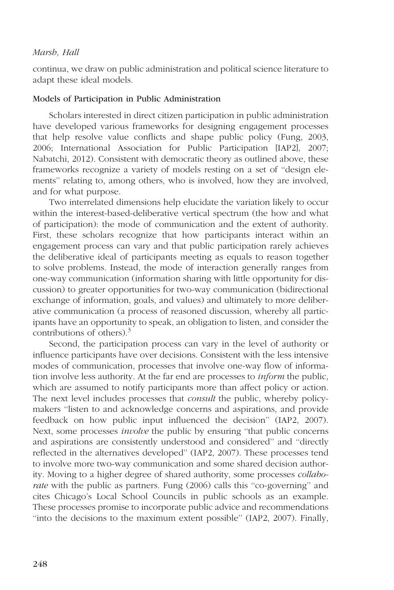continua, we draw on public administration and political science literature to adapt these ideal models.

### Models of Participation in Public Administration

Scholars interested in direct citizen participation in public administration have developed various frameworks for designing engagement processes that help resolve value conflicts and shape public policy (Fung, 2003, 2006; International Association for Public Participation [IAP2], 2007; Nabatchi, 2012). Consistent with democratic theory as outlined above, these frameworks recognize a variety of models resting on a set of ''design elements'' relating to, among others, who is involved, how they are involved, and for what purpose.

Two interrelated dimensions help elucidate the variation likely to occur within the interest-based-deliberative vertical spectrum (the how and what of participation): the mode of communication and the extent of authority. First, these scholars recognize that how participants interact within an engagement process can vary and that public participation rarely achieves the deliberative ideal of participants meeting as equals to reason together to solve problems. Instead, the mode of interaction generally ranges from one-way communication (information sharing with little opportunity for discussion) to greater opportunities for two-way communication (bidirectional exchange of information, goals, and values) and ultimately to more deliberative communication (a process of reasoned discussion, whereby all participants have an opportunity to speak, an obligation to listen, and consider the contributions of others). $3$ 

Second, the participation process can vary in the level of authority or influence participants have over decisions. Consistent with the less intensive modes of communication, processes that involve one-way flow of information involve less authority. At the far end are processes to inform the public, which are assumed to notify participants more than affect policy or action. The next level includes processes that *consult* the public, whereby policymakers ''listen to and acknowledge concerns and aspirations, and provide feedback on how public input influenced the decision'' (IAP2, 2007). Next, some processes *involve* the public by ensuring "that public concerns and aspirations are consistently understood and considered'' and ''directly reflected in the alternatives developed'' (IAP2, 2007). These processes tend to involve more two-way communication and some shared decision authority. Moving to a higher degree of shared authority, some processes collaborate with the public as partners. Fung (2006) calls this "co-governing" and cites Chicago's Local School Councils in public schools as an example. These processes promise to incorporate public advice and recommendations ''into the decisions to the maximum extent possible'' (IAP2, 2007). Finally,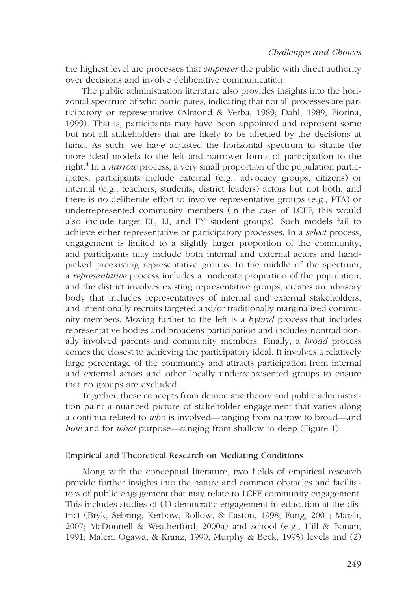the highest level are processes that *empower* the public with direct authority over decisions and involve deliberative communication.

The public administration literature also provides insights into the horizontal spectrum of who participates, indicating that not all processes are participatory or representative (Almond & Verba, 1989; Dahl, 1989; Fiorina, 1999). That is, participants may have been appointed and represent some but not all stakeholders that are likely to be affected by the decisions at hand. As such, we have adjusted the horizontal spectrum to situate the more ideal models to the left and narrower forms of participation to the right.<sup>4</sup> In a *narrow* process, a very small proportion of the population participates, participants include external (e.g., advocacy groups, citizens) or internal (e.g., teachers, students, district leaders) actors but not both, and there is no deliberate effort to involve representative groups (e.g., PTA) or underrepresented community members (in the case of LCFF, this would also include target EL, LI, and FY student groups). Such models fail to achieve either representative or participatory processes. In a select process, engagement is limited to a slightly larger proportion of the community, and participants may include both internal and external actors and handpicked preexisting representative groups. In the middle of the spectrum, a *representative* process includes a moderate proportion of the population, and the district involves existing representative groups, creates an advisory body that includes representatives of internal and external stakeholders, and intentionally recruits targeted and/or traditionally marginalized community members. Moving further to the left is a *hybrid* process that includes representative bodies and broadens participation and includes nontraditionally involved parents and community members. Finally, a *broad* process comes the closest to achieving the participatory ideal. It involves a relatively large percentage of the community and attracts participation from internal and external actors and other locally underrepresented groups to ensure that no groups are excluded.

Together, these concepts from democratic theory and public administration paint a nuanced picture of stakeholder engagement that varies along a continua related to who is involved—ranging from narrow to broad—and how and for what purpose—ranging from shallow to deep (Figure 1).

## Empirical and Theoretical Research on Mediating Conditions

Along with the conceptual literature, two fields of empirical research provide further insights into the nature and common obstacles and facilitators of public engagement that may relate to LCFF community engagement. This includes studies of (1) democratic engagement in education at the district (Bryk, Sebring, Kerbow, Rollow, & Easton, 1998; Fung, 2001; Marsh, 2007; McDonnell & Weatherford, 2000a) and school (e.g., Hill & Bonan, 1991; Malen, Ogawa, & Kranz, 1990; Murphy & Beck, 1995) levels and (2)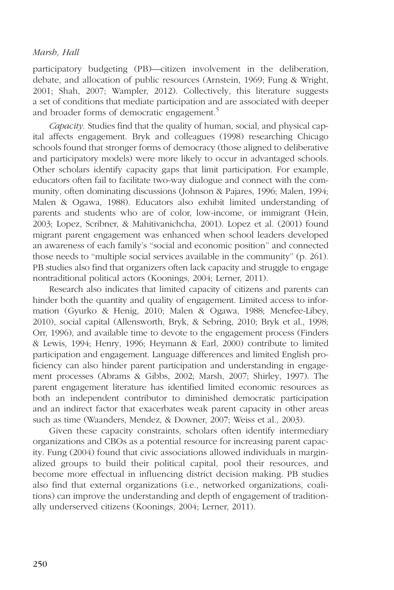participatory budgeting (PB)—citizen involvement in the deliberation, debate, and allocation of public resources (Arnstein, 1969; Fung & Wright, 2001; Shah, 2007; Wampler, 2012). Collectively, this literature suggests a set of conditions that mediate participation and are associated with deeper and broader forms of democratic engagement.<sup>5</sup>

Capacity. Studies find that the quality of human, social, and physical capital affects engagement. Bryk and colleagues (1998) researching Chicago schools found that stronger forms of democracy (those aligned to deliberative and participatory models) were more likely to occur in advantaged schools. Other scholars identify capacity gaps that limit participation. For example, educators often fail to facilitate two-way dialogue and connect with the community, often dominating discussions (Johnson & Pajares, 1996; Malen, 1994; Malen & Ogawa, 1988). Educators also exhibit limited understanding of parents and students who are of color, low-income, or immigrant (Hein, 2003; Lopez, Scribner, & Mahitivanichcha, 2001). Lopez et al. (2001) found migrant parent engagement was enhanced when school leaders developed an awareness of each family's ''social and economic position'' and connected those needs to ''multiple social services available in the community'' (p. 261). PB studies also find that organizers often lack capacity and struggle to engage nontraditional political actors (Koonings, 2004; Lerner, 2011).

Research also indicates that limited capacity of citizens and parents can hinder both the quantity and quality of engagement. Limited access to information (Gyurko & Henig, 2010; Malen & Ogawa, 1988; Menefee-Libey, 2010), social capital (Allensworth, Bryk, & Sebring, 2010; Bryk et al., 1998; Orr, 1996), and available time to devote to the engagement process (Finders & Lewis, 1994; Henry, 1996; Heymann & Earl, 2000) contribute to limited participation and engagement. Language differences and limited English proficiency can also hinder parent participation and understanding in engagement processes (Abrams & Gibbs, 2002; Marsh, 2007; Shirley, 1997). The parent engagement literature has identified limited economic resources as both an independent contributor to diminished democratic participation and an indirect factor that exacerbates weak parent capacity in other areas such as time (Waanders, Mendez, & Downer, 2007; Weiss et al., 2003).

Given these capacity constraints, scholars often identify intermediary organizations and CBOs as a potential resource for increasing parent capacity. Fung (2004) found that civic associations allowed individuals in marginalized groups to build their political capital, pool their resources, and become more effectual in influencing district decision making. PB studies also find that external organizations (i.e., networked organizations, coalitions) can improve the understanding and depth of engagement of traditionally underserved citizens (Koonings, 2004; Lerner, 2011).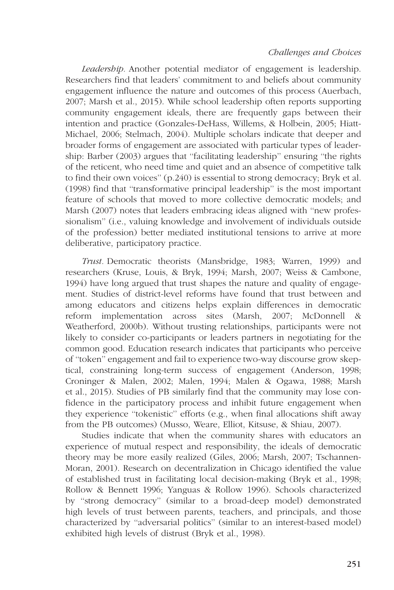Leadership. Another potential mediator of engagement is leadership. Researchers find that leaders' commitment to and beliefs about community engagement influence the nature and outcomes of this process (Auerbach, 2007; Marsh et al., 2015). While school leadership often reports supporting community engagement ideals, there are frequently gaps between their intention and practice (Gonzales-DeHass, Willems, & Holbein, 2005; Hiatt-Michael, 2006; Stelmach, 2004). Multiple scholars indicate that deeper and broader forms of engagement are associated with particular types of leadership: Barber (2003) argues that ''facilitating leadership'' ensuring ''the rights of the reticent, who need time and quiet and an absence of competitive talk to find their own voices'' (p.240) is essential to strong democracy; Bryk et al. (1998) find that ''transformative principal leadership'' is the most important feature of schools that moved to more collective democratic models; and Marsh (2007) notes that leaders embracing ideas aligned with ''new professionalism'' (i.e., valuing knowledge and involvement of individuals outside of the profession) better mediated institutional tensions to arrive at more deliberative, participatory practice.

Trust. Democratic theorists (Mansbridge, 1983; Warren, 1999) and researchers (Kruse, Louis, & Bryk, 1994; Marsh, 2007; Weiss & Cambone, 1994) have long argued that trust shapes the nature and quality of engagement. Studies of district-level reforms have found that trust between and among educators and citizens helps explain differences in democratic reform implementation across sites (Marsh, 2007; McDonnell & Weatherford, 2000b). Without trusting relationships, participants were not likely to consider co-participants or leaders partners in negotiating for the common good. Education research indicates that participants who perceive of ''token'' engagement and fail to experience two-way discourse grow skeptical, constraining long-term success of engagement (Anderson, 1998; Croninger & Malen, 2002; Malen, 1994; Malen & Ogawa, 1988; Marsh et al., 2015). Studies of PB similarly find that the community may lose confidence in the participatory process and inhibit future engagement when they experience ''tokenistic'' efforts (e.g., when final allocations shift away from the PB outcomes) (Musso, Weare, Elliot, Kitsuse, & Shiau, 2007).

Studies indicate that when the community shares with educators an experience of mutual respect and responsibility, the ideals of democratic theory may be more easily realized (Giles, 2006; Marsh, 2007; Tschannen-Moran, 2001). Research on decentralization in Chicago identified the value of established trust in facilitating local decision-making (Bryk et al., 1998; Rollow & Bennett 1996; Yanguas & Rollow 1996). Schools characterized by ''strong democracy'' (similar to a broad-deep model) demonstrated high levels of trust between parents, teachers, and principals, and those characterized by ''adversarial politics'' (similar to an interest-based model) exhibited high levels of distrust (Bryk et al., 1998).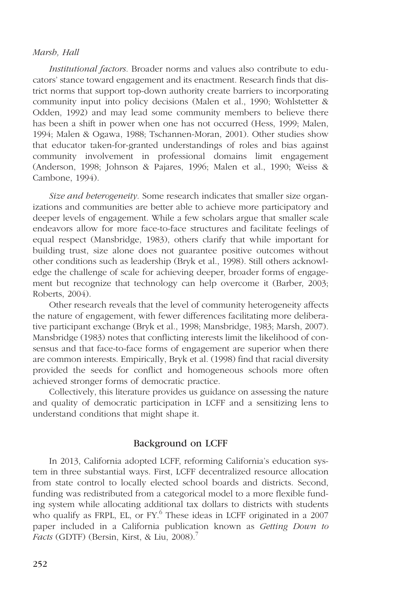Institutional factors. Broader norms and values also contribute to educators' stance toward engagement and its enactment. Research finds that district norms that support top-down authority create barriers to incorporating community input into policy decisions (Malen et al., 1990; Wohlstetter & Odden, 1992) and may lead some community members to believe there has been a shift in power when one has not occurred (Hess, 1999; Malen, 1994; Malen & Ogawa, 1988; Tschannen-Moran, 2001). Other studies show that educator taken-for-granted understandings of roles and bias against community involvement in professional domains limit engagement (Anderson, 1998; Johnson & Pajares, 1996; Malen et al., 1990; Weiss & Cambone, 1994).

Size and heterogeneity. Some research indicates that smaller size organizations and communities are better able to achieve more participatory and deeper levels of engagement. While a few scholars argue that smaller scale endeavors allow for more face-to-face structures and facilitate feelings of equal respect (Mansbridge, 1983), others clarify that while important for building trust, size alone does not guarantee positive outcomes without other conditions such as leadership (Bryk et al., 1998). Still others acknowledge the challenge of scale for achieving deeper, broader forms of engagement but recognize that technology can help overcome it (Barber, 2003; Roberts, 2004).

Other research reveals that the level of community heterogeneity affects the nature of engagement, with fewer differences facilitating more deliberative participant exchange (Bryk et al., 1998; Mansbridge, 1983; Marsh, 2007). Mansbridge (1983) notes that conflicting interests limit the likelihood of consensus and that face-to-face forms of engagement are superior when there are common interests. Empirically, Bryk et al. (1998) find that racial diversity provided the seeds for conflict and homogeneous schools more often achieved stronger forms of democratic practice.

Collectively, this literature provides us guidance on assessing the nature and quality of democratic participation in LCFF and a sensitizing lens to understand conditions that might shape it.

# Background on LCFF

In 2013, California adopted LCFF, reforming California's education system in three substantial ways. First, LCFF decentralized resource allocation from state control to locally elected school boards and districts. Second, funding was redistributed from a categorical model to a more flexible funding system while allocating additional tax dollars to districts with students who qualify as FRPL, EL, or FY.<sup>6</sup> These ideas in LCFF originated in a 2007 paper included in a California publication known as Getting Down to *Facts* (GDTF) (Bersin, Kirst, & Liu, 2008).<sup>7</sup>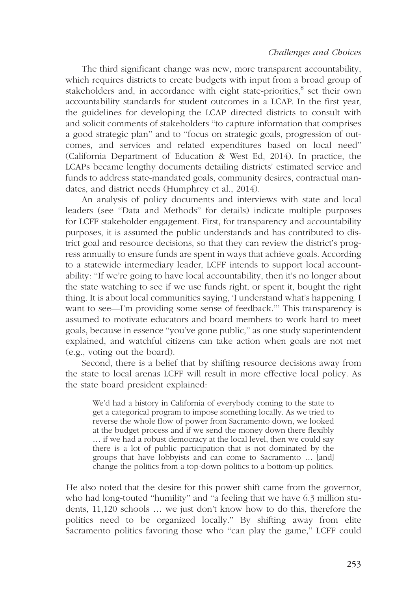The third significant change was new, more transparent accountability, which requires districts to create budgets with input from a broad group of stakeholders and, in accordance with eight state-priorities, $\delta$  set their own accountability standards for student outcomes in a LCAP. In the first year, the guidelines for developing the LCAP directed districts to consult with and solicit comments of stakeholders ''to capture information that comprises a good strategic plan'' and to ''focus on strategic goals, progression of outcomes, and services and related expenditures based on local need'' (California Department of Education & West Ed, 2014). In practice, the LCAPs became lengthy documents detailing districts' estimated service and funds to address state-mandated goals, community desires, contractual mandates, and district needs (Humphrey et al., 2014).

An analysis of policy documents and interviews with state and local leaders (see ''Data and Methods'' for details) indicate multiple purposes for LCFF stakeholder engagement. First, for transparency and accountability purposes, it is assumed the public understands and has contributed to district goal and resource decisions, so that they can review the district's progress annually to ensure funds are spent in ways that achieve goals. According to a statewide intermediary leader, LCFF intends to support local accountability: ''If we're going to have local accountability, then it's no longer about the state watching to see if we use funds right, or spent it, bought the right thing. It is about local communities saying, 'I understand what's happening. I want to see—I'm providing some sense of feedback.''' This transparency is assumed to motivate educators and board members to work hard to meet goals, because in essence ''you've gone public,'' as one study superintendent explained, and watchful citizens can take action when goals are not met (e.g., voting out the board).

Second, there is a belief that by shifting resource decisions away from the state to local arenas LCFF will result in more effective local policy. As the state board president explained:

We'd had a history in California of everybody coming to the state to get a categorical program to impose something locally. As we tried to reverse the whole flow of power from Sacramento down, we looked at the budget process and if we send the money down there flexibly ... if we had a robust democracy at the local level, then we could say there is a lot of public participation that is not dominated by the groups that have lobbyists and can come to Sacramento ... [and] change the politics from a top-down politics to a bottom-up politics.

He also noted that the desire for this power shift came from the governor, who had long-touted ''humility'' and ''a feeling that we have 6.3 million students, 11,120 schools ... we just don't know how to do this, therefore the politics need to be organized locally.'' By shifting away from elite Sacramento politics favoring those who ''can play the game,'' LCFF could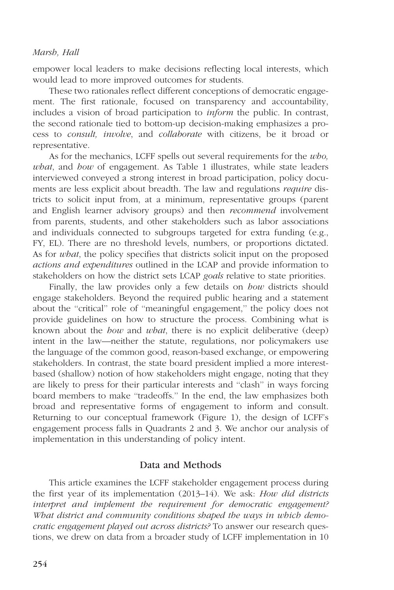empower local leaders to make decisions reflecting local interests, which would lead to more improved outcomes for students.

These two rationales reflect different conceptions of democratic engagement. The first rationale, focused on transparency and accountability, includes a vision of broad participation to inform the public. In contrast, the second rationale tied to bottom-up decision-making emphasizes a process to consult, involve, and collaborate with citizens, be it broad or representative.

As for the mechanics, LCFF spells out several requirements for the *who*, what, and how of engagement. As Table 1 illustrates, while state leaders interviewed conveyed a strong interest in broad participation, policy documents are less explicit about breadth. The law and regulations *require* districts to solicit input from, at a minimum, representative groups (parent and English learner advisory groups) and then *recommend* involvement from parents, students, and other stakeholders such as labor associations and individuals connected to subgroups targeted for extra funding (e.g., FY, EL). There are no threshold levels, numbers, or proportions dictated. As for *what*, the policy specifies that districts solicit input on the proposed actions and expenditures outlined in the LCAP and provide information to stakeholders on how the district sets LCAP *goals* relative to state priorities.

Finally, the law provides only a few details on *how* districts should engage stakeholders. Beyond the required public hearing and a statement about the ''critical'' role of ''meaningful engagement,'' the policy does not provide guidelines on how to structure the process. Combining what is known about the *how* and *what*, there is no explicit deliberative (deep) intent in the law—neither the statute, regulations, nor policymakers use the language of the common good, reason-based exchange, or empowering stakeholders. In contrast, the state board president implied a more interestbased (shallow) notion of how stakeholders might engage, noting that they are likely to press for their particular interests and ''clash'' in ways forcing board members to make ''tradeoffs.'' In the end, the law emphasizes both broad and representative forms of engagement to inform and consult. Returning to our conceptual framework (Figure 1), the design of LCFF's engagement process falls in Quadrants 2 and 3. We anchor our analysis of implementation in this understanding of policy intent.

## Data and Methods

This article examines the LCFF stakeholder engagement process during the first year of its implementation  $(2013-14)$ . We ask: *How did districts* interpret and implement the requirement for democratic engagement? What district and community conditions shaped the ways in which democratic engagement played out across districts? To answer our research questions, we drew on data from a broader study of LCFF implementation in 10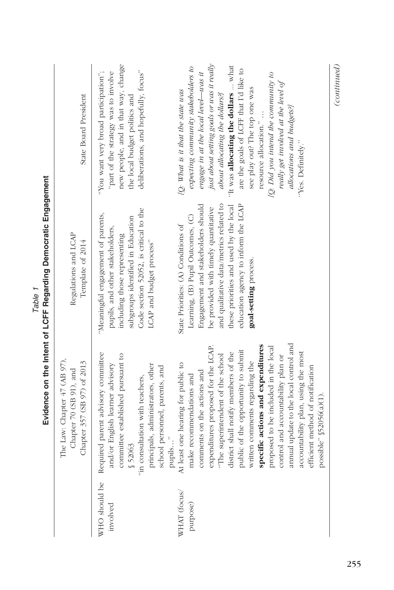| WHO should be<br>WHAT (focus/<br>purpose)<br>involved | expenditures proposed for the LCAP.<br>public of the opportunity to submit<br>district shall notify members of the<br>Required parent advisory committee<br>committee established pursuant to<br>"The superintendent of the school<br>The Law: Chapter 47 (AB 97),<br>Chapter 357 (SB 97) of 2013<br>At least one hearing for public to<br>and/or English learner advisory<br>principals, administrators, other<br>school personnel, parents, and<br>Chapter 70 (SB 91), and<br>comments on the actions and<br>make recommendations and<br>"in consultation with teachers,<br>pupils"<br>\$52063 | Evidence on the Intent of LCFF Regarding Democratic Engagement<br>and qualitative data/metrics related to<br>these priorities and used by the local<br>Engagement and stakeholders should<br>education agency to inform the LCAP<br>be provided with timely quantitative<br>Code section 52052, is critical to the<br>"Meaningful engagement of parents,<br>Learning, (B) Pupil Outcomes, (C)<br>subgroups identified in Education<br>State Priorities: (A) Conditions of<br>pupils, and other stakeholders,<br>Regulations and LCAP<br>including those representing<br>Template of 2014<br>LCAP and budget process" | just about setting goals or was it really<br>new people, and in that way, change<br>"It was allocating the dollars  what<br>expecting community stakeholders to<br>are the goals of LCFF that I'd like to<br>deliberations, and hopefully, focus"<br>"You want very broad participation";<br>"part of the strategy was to involve<br>engage in at the local level-was it<br>[Q: What is it that the state was<br>about allocating the dollars?<br>State Board President<br>the local budget politics and |
|-------------------------------------------------------|--------------------------------------------------------------------------------------------------------------------------------------------------------------------------------------------------------------------------------------------------------------------------------------------------------------------------------------------------------------------------------------------------------------------------------------------------------------------------------------------------------------------------------------------------------------------------------------------------|----------------------------------------------------------------------------------------------------------------------------------------------------------------------------------------------------------------------------------------------------------------------------------------------------------------------------------------------------------------------------------------------------------------------------------------------------------------------------------------------------------------------------------------------------------------------------------------------------------------------|----------------------------------------------------------------------------------------------------------------------------------------------------------------------------------------------------------------------------------------------------------------------------------------------------------------------------------------------------------------------------------------------------------------------------------------------------------------------------------------------------------|
|                                                       | annual update to the local control and<br>specific actions and expenditures<br>proposed to be included in the local<br>accountability plan, using the most<br>control and accountability plan or<br>written comments regarding the<br>efficient method of notification<br>possible" §52056(a)(1).                                                                                                                                                                                                                                                                                                | goal-setting process.                                                                                                                                                                                                                                                                                                                                                                                                                                                                                                                                                                                                | (continued)<br>[Q: Did you intend the community to<br>really get involved at the level of<br>see play out? The top one was<br>allocations and budgets?]<br>resource allocation."<br>"Yes. Definitely."                                                                                                                                                                                                                                                                                                   |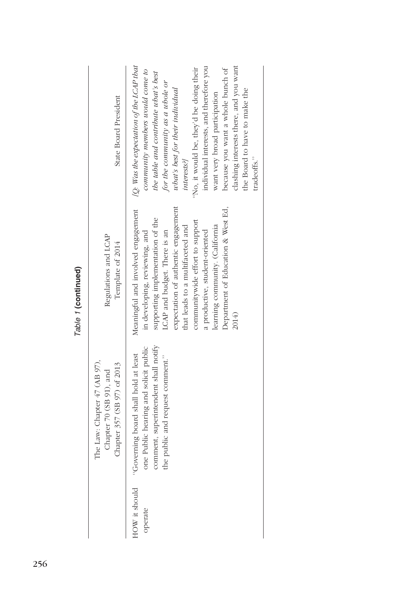|                          |                                                                                                                                                           | l mole i (nomination)                                                                                                                                                                                                                                                                                                                                                   |                                                                                                                                                                                                                                                                                                                                                                                                                                                                 |
|--------------------------|-----------------------------------------------------------------------------------------------------------------------------------------------------------|-------------------------------------------------------------------------------------------------------------------------------------------------------------------------------------------------------------------------------------------------------------------------------------------------------------------------------------------------------------------------|-----------------------------------------------------------------------------------------------------------------------------------------------------------------------------------------------------------------------------------------------------------------------------------------------------------------------------------------------------------------------------------------------------------------------------------------------------------------|
|                          | The Law: Chapter 47 (AB 97),<br>Chapter 357 (SB 97) of 2013<br>Chapter 70 (SB 91), and                                                                    | Regulations and LCAP<br>Template of 2014                                                                                                                                                                                                                                                                                                                                | State Board President                                                                                                                                                                                                                                                                                                                                                                                                                                           |
| HOW it should<br>operate | comment, superintendent shall notify<br>one Public hearing and solicit public<br>"Governing board shall hold at least<br>the public and request comment." | expectation of authentic engagement<br>Department of Education & West Ed,<br>Meaningful and involved engagement<br>supporting implementation of the<br>communitywide effort to support<br>leaming community. (California<br>that leads to a multifaceted and<br>a productive, student-oriented<br>LCAP and budget. There is an<br>in developing, reviewing, and<br>2014 | [Q: Was the expectation of the LCAP that<br>clashing interests there, and you want<br>individual interests, and therefore you<br>"No, it would be, they'd be doing their<br>because you want a whole bunch of<br>community members would come to<br>the table and contribute what's best<br>for the community as a whole or<br>what's best for their individual<br>the Board to have to make the<br>want very broad participation<br>tradeoffs."<br>interests?] |

Table 1 (continued) Table 1 (continued)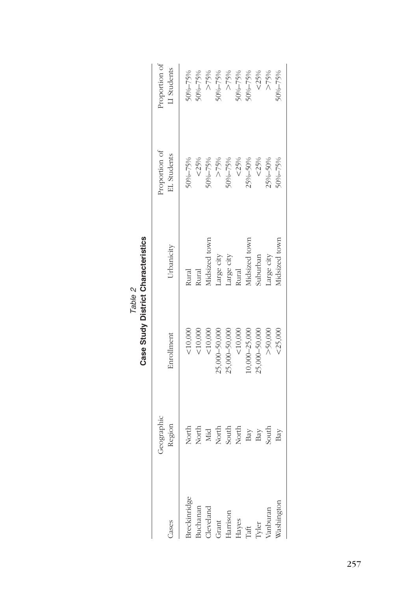| cases                          | Geographic<br>Region    | Enrollment        | Urbanicity                        | Proportion of<br>EL Students | Proportion of<br>LI Students |
|--------------------------------|-------------------------|-------------------|-----------------------------------|------------------------------|------------------------------|
| treckinridge                   | North                   | $<\!10,\!000$     |                                   | $50\% - 75\%$                | $^{1006} - 75%$              |
| juchanan                       | North                   | $<$ 10,000 $\,$   | Rural<br>Rural                    | $< 25\%$                     | $0\% - 75\%$                 |
|                                | Mid                     | $<$ 10,000        | fidsized town                     | $0\% - 75\%$                 | $>>75\%$                     |
| Cleveland<br>Grant<br>Harrison | North<br>South<br>North | 25,000-50,000     |                                   | >>75%                        | $0\% - 75\%$                 |
|                                |                         | $5,000 - 50,000$  | Large city<br>Large city<br>Rural | $-006 - 75%$                 | >>75%                        |
|                                |                         | 10,000            |                                   | $< 25\%$                     | $000 - 75%$                  |
| Hayes<br>Taft<br>Tyler         |                         | $10,000 - 25,000$ | lidsized town                     | 25%-50%                      | 0%-75%                       |
|                                | Bay<br>Bay<br>South     | $5,000 - 50,000$  | suburban                          | $< 25\%$                     | <25%                         |
| anburan                        |                         | >50,000           | arge city                         | 25%-50%                      | $>75\%$                      |
| Vashingtor                     | Bay                     | $<$ 25,000        | fidsized town                     | $-006 - 75%$                 | $-006 - 75%$                 |
|                                |                         |                   |                                   |                              |                              |

Table 2<br>Case Study District Characteristics Case Study District Characteristics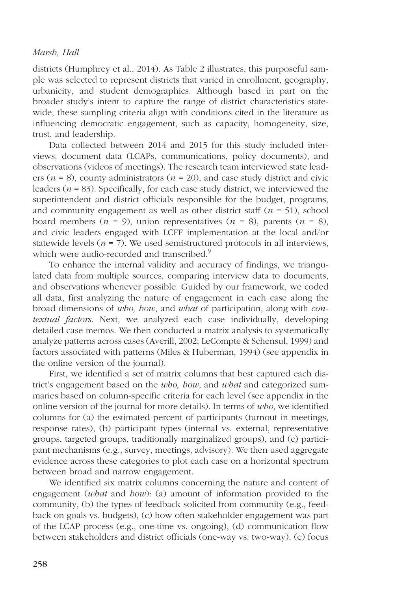districts (Humphrey et al., 2014). As Table 2 illustrates, this purposeful sample was selected to represent districts that varied in enrollment, geography, urbanicity, and student demographics. Although based in part on the broader study's intent to capture the range of district characteristics statewide, these sampling criteria align with conditions cited in the literature as influencing democratic engagement, such as capacity, homogeneity, size, trust, and leadership.

Data collected between 2014 and 2015 for this study included interviews, document data (LCAPs, communications, policy documents), and observations (videos of meetings). The research team interviewed state leaders ( $n = 8$ ), county administrators ( $n = 20$ ), and case study district and civic leaders ( $n = 83$ ). Specifically, for each case study district, we interviewed the superintendent and district officials responsible for the budget, programs, and community engagement as well as other district staff  $(n = 51)$ , school board members  $(n = 9)$ , union representatives  $(n = 8)$ , parents  $(n = 8)$ , and civic leaders engaged with LCFF implementation at the local and/or statewide levels ( $n = 7$ ). We used semistructured protocols in all interviews, which were audio-recorded and transcribed.<sup>9</sup>

To enhance the internal validity and accuracy of findings, we triangulated data from multiple sources, comparing interview data to documents, and observations whenever possible. Guided by our framework, we coded all data, first analyzing the nature of engagement in each case along the broad dimensions of who, how, and what of participation, along with contextual factors. Next, we analyzed each case individually, developing detailed case memos. We then conducted a matrix analysis to systematically analyze patterns across cases (Averill, 2002; LeCompte & Schensul, 1999) and factors associated with patterns (Miles & Huberman, 1994) (see [appendix](https://journals.sagepub.com/doi/suppl/10.3102/0002831217734803) in the online version of the journal).

First, we identified a set of matrix columns that best captured each district's engagement based on the *who*, *how*, and *what* and categorized summaries based on column-specific criteria for each level (see [appendix](https://journals.sagepub.com/doi/suppl/10.3102/0002831217734803) in the online version of the journal for more details). In terms of who, we identified columns for (a) the estimated percent of participants (turnout in meetings, response rates), (b) participant types (internal vs. external, representative groups, targeted groups, traditionally marginalized groups), and (c) participant mechanisms (e.g., survey, meetings, advisory). We then used aggregate evidence across these categories to plot each case on a horizontal spectrum between broad and narrow engagement.

We identified six matrix columns concerning the nature and content of engagement (*what* and *how*): (a) amount of information provided to the community, (b) the types of feedback solicited from community (e.g., feedback on goals vs. budgets), (c) how often stakeholder engagement was part of the LCAP process (e.g., one-time vs. ongoing), (d) communication flow between stakeholders and district officials (one-way vs. two-way), (e) focus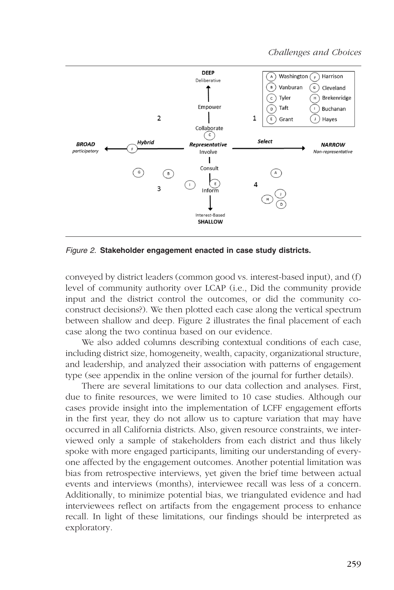

Figure 2. Stakeholder engagement enacted in case study districts.

conveyed by district leaders (common good vs. interest-based input), and (f) level of community authority over LCAP (i.e., Did the community provide input and the district control the outcomes, or did the community coconstruct decisions?). We then plotted each case along the vertical spectrum between shallow and deep. Figure 2 illustrates the final placement of each case along the two continua based on our evidence.

We also added columns describing contextual conditions of each case, including district size, homogeneity, wealth, capacity, organizational structure, and leadership, and analyzed their association with patterns of engagement type (see [appendix](https://journals.sagepub.com/doi/suppl/10.3102/0002831217734803) in the online version of the journal for further details).

There are several limitations to our data collection and analyses. First, due to finite resources, we were limited to 10 case studies. Although our cases provide insight into the implementation of LCFF engagement efforts in the first year, they do not allow us to capture variation that may have occurred in all California districts. Also, given resource constraints, we interviewed only a sample of stakeholders from each district and thus likely spoke with more engaged participants, limiting our understanding of everyone affected by the engagement outcomes. Another potential limitation was bias from retrospective interviews, yet given the brief time between actual events and interviews (months), interviewee recall was less of a concern. Additionally, to minimize potential bias, we triangulated evidence and had interviewees reflect on artifacts from the engagement process to enhance recall. In light of these limitations, our findings should be interpreted as exploratory.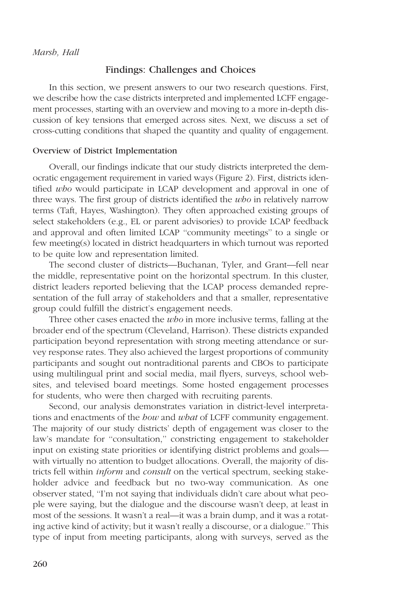## Findings: Challenges and Choices

In this section, we present answers to our two research questions. First, we describe how the case districts interpreted and implemented LCFF engagement processes, starting with an overview and moving to a more in-depth discussion of key tensions that emerged across sites. Next, we discuss a set of cross-cutting conditions that shaped the quantity and quality of engagement.

#### Overview of District Implementation

Overall, our findings indicate that our study districts interpreted the democratic engagement requirement in varied ways (Figure 2). First, districts identified who would participate in LCAP development and approval in one of three ways. The first group of districts identified the  $wbo$  in relatively narrow terms (Taft, Hayes, Washington). They often approached existing groups of select stakeholders (e.g., EL or parent advisories) to provide LCAP feedback and approval and often limited LCAP ''community meetings'' to a single or few meeting(s) located in district headquarters in which turnout was reported to be quite low and representation limited.

The second cluster of districts—Buchanan, Tyler, and Grant—fell near the middle, representative point on the horizontal spectrum. In this cluster, district leaders reported believing that the LCAP process demanded representation of the full array of stakeholders and that a smaller, representative group could fulfill the district's engagement needs.

Three other cases enacted the *who* in more inclusive terms, falling at the broader end of the spectrum (Cleveland, Harrison). These districts expanded participation beyond representation with strong meeting attendance or survey response rates. They also achieved the largest proportions of community participants and sought out nontraditional parents and CBOs to participate using multilingual print and social media, mail flyers, surveys, school websites, and televised board meetings. Some hosted engagement processes for students, who were then charged with recruiting parents.

Second, our analysis demonstrates variation in district-level interpretations and enactments of the *how* and what of LCFF community engagement. The majority of our study districts' depth of engagement was closer to the law's mandate for ''consultation,'' constricting engagement to stakeholder input on existing state priorities or identifying district problems and goals with virtually no attention to budget allocations. Overall, the majority of districts fell within *inform* and *consult* on the vertical spectrum, seeking stakeholder advice and feedback but no two-way communication. As one observer stated, ''I'm not saying that individuals didn't care about what people were saying, but the dialogue and the discourse wasn't deep, at least in most of the sessions. It wasn't a real—it was a brain dump, and it was a rotating active kind of activity; but it wasn't really a discourse, or a dialogue.'' This type of input from meeting participants, along with surveys, served as the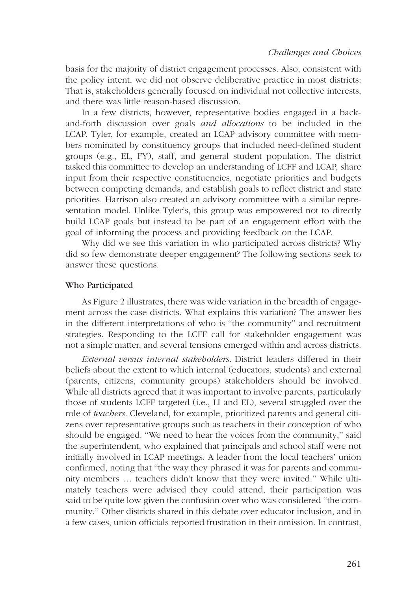basis for the majority of district engagement processes. Also, consistent with the policy intent, we did not observe deliberative practice in most districts: That is, stakeholders generally focused on individual not collective interests, and there was little reason-based discussion.

In a few districts, however, representative bodies engaged in a backand-forth discussion over goals and allocations to be included in the LCAP. Tyler, for example, created an LCAP advisory committee with members nominated by constituency groups that included need-defined student groups (e.g., EL, FY), staff, and general student population. The district tasked this committee to develop an understanding of LCFF and LCAP, share input from their respective constituencies, negotiate priorities and budgets between competing demands, and establish goals to reflect district and state priorities. Harrison also created an advisory committee with a similar representation model. Unlike Tyler's, this group was empowered not to directly build LCAP goals but instead to be part of an engagement effort with the goal of informing the process and providing feedback on the LCAP.

Why did we see this variation in who participated across districts? Why did so few demonstrate deeper engagement? The following sections seek to answer these questions.

## Who Participated

As Figure 2 illustrates, there was wide variation in the breadth of engagement across the case districts. What explains this variation? The answer lies in the different interpretations of who is ''the community'' and recruitment strategies. Responding to the LCFF call for stakeholder engagement was not a simple matter, and several tensions emerged within and across districts.

External versus internal stakeholders. District leaders differed in their beliefs about the extent to which internal (educators, students) and external (parents, citizens, community groups) stakeholders should be involved. While all districts agreed that it was important to involve parents, particularly those of students LCFF targeted (i.e., LI and EL), several struggled over the role of teachers. Cleveland, for example, prioritized parents and general citizens over representative groups such as teachers in their conception of who should be engaged. ''We need to hear the voices from the community,'' said the superintendent, who explained that principals and school staff were not initially involved in LCAP meetings. A leader from the local teachers' union confirmed, noting that ''the way they phrased it was for parents and community members ... teachers didn't know that they were invited." While ultimately teachers were advised they could attend, their participation was said to be quite low given the confusion over who was considered ''the community.'' Other districts shared in this debate over educator inclusion, and in a few cases, union officials reported frustration in their omission. In contrast,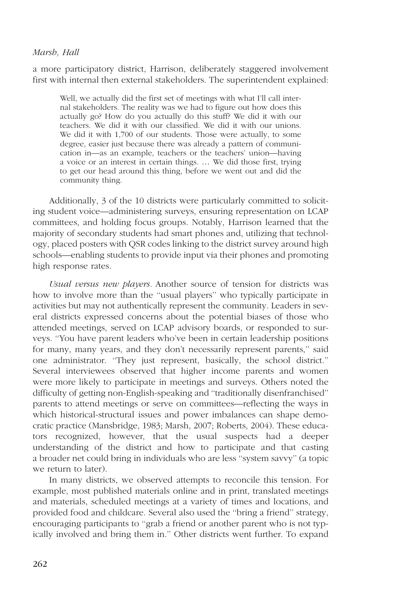a more participatory district, Harrison, deliberately staggered involvement first with internal then external stakeholders. The superintendent explained:

Well, we actually did the first set of meetings with what I'll call internal stakeholders. The reality was we had to figure out how does this actually go? How do you actually do this stuff? We did it with our teachers. We did it with our classified. We did it with our unions. We did it with 1,700 of our students. Those were actually, to some degree, easier just because there was already a pattern of communication in—as an example, teachers or the teachers' union—having a voice or an interest in certain things. ... We did those first, trying to get our head around this thing, before we went out and did the community thing.

Additionally, 3 of the 10 districts were particularly committed to soliciting student voice—administering surveys, ensuring representation on LCAP committees, and holding focus groups. Notably, Harrison learned that the majority of secondary students had smart phones and, utilizing that technology, placed posters with QSR codes linking to the district survey around high schools—enabling students to provide input via their phones and promoting high response rates.

Usual versus new players. Another source of tension for districts was how to involve more than the ''usual players'' who typically participate in activities but may not authentically represent the community. Leaders in several districts expressed concerns about the potential biases of those who attended meetings, served on LCAP advisory boards, or responded to surveys. ''You have parent leaders who've been in certain leadership positions for many, many years, and they don't necessarily represent parents,'' said one administrator. ''They just represent, basically, the school district.'' Several interviewees observed that higher income parents and women were more likely to participate in meetings and surveys. Others noted the difficulty of getting non-English-speaking and ''traditionally disenfranchised'' parents to attend meetings or serve on committees—reflecting the ways in which historical-structural issues and power imbalances can shape democratic practice (Mansbridge, 1983; Marsh, 2007; Roberts, 2004). These educators recognized, however, that the usual suspects had a deeper understanding of the district and how to participate and that casting a broader net could bring in individuals who are less ''system savvy'' (a topic we return to later).

In many districts, we observed attempts to reconcile this tension. For example, most published materials online and in print, translated meetings and materials, scheduled meetings at a variety of times and locations, and provided food and childcare. Several also used the ''bring a friend'' strategy, encouraging participants to ''grab a friend or another parent who is not typically involved and bring them in.'' Other districts went further. To expand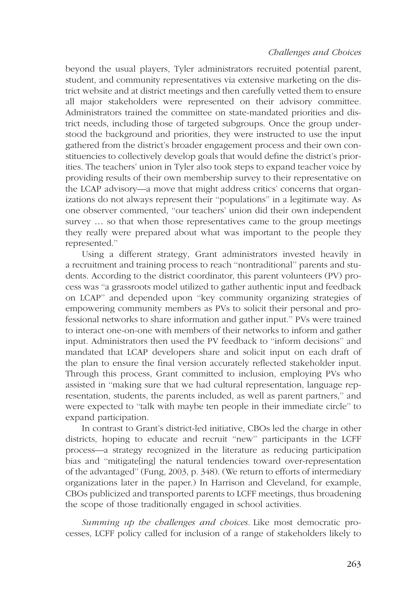beyond the usual players, Tyler administrators recruited potential parent, student, and community representatives via extensive marketing on the district website and at district meetings and then carefully vetted them to ensure all major stakeholders were represented on their advisory committee. Administrators trained the committee on state-mandated priorities and district needs, including those of targeted subgroups. Once the group understood the background and priorities, they were instructed to use the input gathered from the district's broader engagement process and their own constituencies to collectively develop goals that would define the district's priorities. The teachers' union in Tyler also took steps to expand teacher voice by providing results of their own membership survey to their representative on the LCAP advisory—a move that might address critics' concerns that organizations do not always represent their ''populations'' in a legitimate way. As one observer commented, ''our teachers' union did their own independent survey ... so that when those representatives came to the group meetings they really were prepared about what was important to the people they represented.''

Using a different strategy, Grant administrators invested heavily in a recruitment and training process to reach ''nontraditional'' parents and students. According to the district coordinator, this parent volunteers (PV) process was ''a grassroots model utilized to gather authentic input and feedback on LCAP'' and depended upon ''key community organizing strategies of empowering community members as PVs to solicit their personal and professional networks to share information and gather input.'' PVs were trained to interact one-on-one with members of their networks to inform and gather input. Administrators then used the PV feedback to ''inform decisions'' and mandated that LCAP developers share and solicit input on each draft of the plan to ensure the final version accurately reflected stakeholder input. Through this process, Grant committed to inclusion, employing PVs who assisted in ''making sure that we had cultural representation, language representation, students, the parents included, as well as parent partners,'' and were expected to ''talk with maybe ten people in their immediate circle'' to expand participation.

In contrast to Grant's district-led initiative, CBOs led the charge in other districts, hoping to educate and recruit ''new'' participants in the LCFF process—a strategy recognized in the literature as reducing participation bias and ''mitigate[ing] the natural tendencies toward over-representation of the advantaged'' (Fung, 2003, p. 348). (We return to efforts of intermediary organizations later in the paper.) In Harrison and Cleveland, for example, CBOs publicized and transported parents to LCFF meetings, thus broadening the scope of those traditionally engaged in school activities.

Summing up the challenges and choices. Like most democratic processes, LCFF policy called for inclusion of a range of stakeholders likely to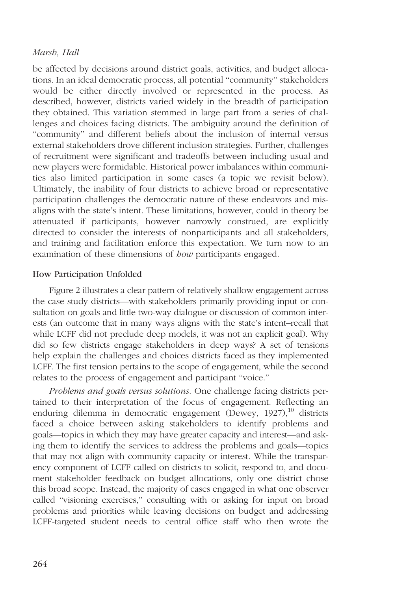be affected by decisions around district goals, activities, and budget allocations. In an ideal democratic process, all potential ''community'' stakeholders would be either directly involved or represented in the process. As described, however, districts varied widely in the breadth of participation they obtained. This variation stemmed in large part from a series of challenges and choices facing districts. The ambiguity around the definition of ''community'' and different beliefs about the inclusion of internal versus external stakeholders drove different inclusion strategies. Further, challenges of recruitment were significant and tradeoffs between including usual and new players were formidable. Historical power imbalances within communities also limited participation in some cases (a topic we revisit below). Ultimately, the inability of four districts to achieve broad or representative participation challenges the democratic nature of these endeavors and misaligns with the state's intent. These limitations, however, could in theory be attenuated if participants, however narrowly construed, are explicitly directed to consider the interests of nonparticipants and all stakeholders, and training and facilitation enforce this expectation. We turn now to an examination of these dimensions of *how* participants engaged.

### How Participation Unfolded

Figure 2 illustrates a clear pattern of relatively shallow engagement across the case study districts—with stakeholders primarily providing input or consultation on goals and little two-way dialogue or discussion of common interests (an outcome that in many ways aligns with the state's intent–recall that while LCFF did not preclude deep models, it was not an explicit goal). Why did so few districts engage stakeholders in deep ways? A set of tensions help explain the challenges and choices districts faced as they implemented LCFF. The first tension pertains to the scope of engagement, while the second relates to the process of engagement and participant ''voice.''

Problems and goals versus solutions. One challenge facing districts pertained to their interpretation of the focus of engagement. Reflecting an enduring dilemma in democratic engagement (Dewey, 1927),<sup>10</sup> districts faced a choice between asking stakeholders to identify problems and goals—topics in which they may have greater capacity and interest—and asking them to identify the services to address the problems and goals—topics that may not align with community capacity or interest. While the transparency component of LCFF called on districts to solicit, respond to, and document stakeholder feedback on budget allocations, only one district chose this broad scope. Instead, the majority of cases engaged in what one observer called ''visioning exercises,'' consulting with or asking for input on broad problems and priorities while leaving decisions on budget and addressing LCFF-targeted student needs to central office staff who then wrote the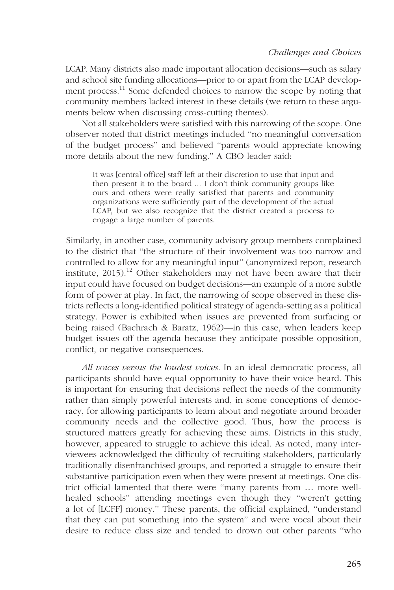LCAP. Many districts also made important allocation decisions—such as salary and school site funding allocations—prior to or apart from the LCAP development process.<sup>11</sup> Some defended choices to narrow the scope by noting that community members lacked interest in these details (we return to these arguments below when discussing cross-cutting themes).

Not all stakeholders were satisfied with this narrowing of the scope. One observer noted that district meetings included ''no meaningful conversation of the budget process'' and believed ''parents would appreciate knowing more details about the new funding.'' A CBO leader said:

It was [central office] staff left at their discretion to use that input and then present it to the board ... I don't think community groups like ours and others were really satisfied that parents and community organizations were sufficiently part of the development of the actual LCAP, but we also recognize that the district created a process to engage a large number of parents.

Similarly, in another case, community advisory group members complained to the district that ''the structure of their involvement was too narrow and controlled to allow for any meaningful input'' (anonymized report, research institute,  $2015$ ).<sup>12</sup> Other stakeholders may not have been aware that their input could have focused on budget decisions—an example of a more subtle form of power at play. In fact, the narrowing of scope observed in these districts reflects a long-identified political strategy of agenda-setting as a political strategy. Power is exhibited when issues are prevented from surfacing or being raised (Bachrach & Baratz, 1962)—in this case, when leaders keep budget issues off the agenda because they anticipate possible opposition, conflict, or negative consequences.

All voices versus the loudest voices. In an ideal democratic process, all participants should have equal opportunity to have their voice heard. This is important for ensuring that decisions reflect the needs of the community rather than simply powerful interests and, in some conceptions of democracy, for allowing participants to learn about and negotiate around broader community needs and the collective good. Thus, how the process is structured matters greatly for achieving these aims. Districts in this study, however, appeared to struggle to achieve this ideal. As noted, many interviewees acknowledged the difficulty of recruiting stakeholders, particularly traditionally disenfranchised groups, and reported a struggle to ensure their substantive participation even when they were present at meetings. One district official lamented that there were "many parents from ... more wellhealed schools'' attending meetings even though they ''weren't getting a lot of [LCFF] money.'' These parents, the official explained, ''understand that they can put something into the system'' and were vocal about their desire to reduce class size and tended to drown out other parents ''who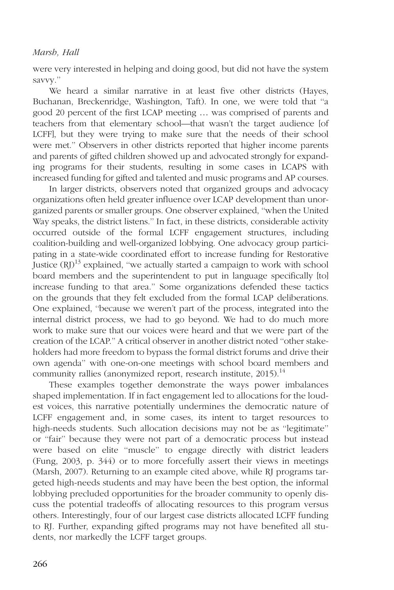were very interested in helping and doing good, but did not have the system savvy.''

We heard a similar narrative in at least five other districts (Hayes, Buchanan, Breckenridge, Washington, Taft). In one, we were told that ''a good 20 percent of the first LCAP meeting ... was comprised of parents and teachers from that elementary school—that wasn't the target audience [of LCFF], but they were trying to make sure that the needs of their school were met.'' Observers in other districts reported that higher income parents and parents of gifted children showed up and advocated strongly for expanding programs for their students, resulting in some cases in LCAPS with increased funding for gifted and talented and music programs and AP courses.

In larger districts, observers noted that organized groups and advocacy organizations often held greater influence over LCAP development than unorganized parents or smaller groups. One observer explained, ''when the United Way speaks, the district listens.'' In fact, in these districts, considerable activity occurred outside of the formal LCFF engagement structures, including coalition-building and well-organized lobbying. One advocacy group participating in a state-wide coordinated effort to increase funding for Restorative Justice  $(R)$ <sup>13</sup> explained, "we actually started a campaign to work with school board members and the superintendent to put in language specifically [to] increase funding to that area.'' Some organizations defended these tactics on the grounds that they felt excluded from the formal LCAP deliberations. One explained, ''because we weren't part of the process, integrated into the internal district process, we had to go beyond. We had to do much more work to make sure that our voices were heard and that we were part of the creation of the LCAP.'' A critical observer in another district noted ''other stakeholders had more freedom to bypass the formal district forums and drive their own agenda'' with one-on-one meetings with school board members and community rallies (anonymized report, research institute, 2015).<sup>14</sup>

These examples together demonstrate the ways power imbalances shaped implementation. If in fact engagement led to allocations for the loudest voices, this narrative potentially undermines the democratic nature of LCFF engagement and, in some cases, its intent to target resources to high-needs students. Such allocation decisions may not be as ''legitimate'' or ''fair'' because they were not part of a democratic process but instead were based on elite ''muscle'' to engage directly with district leaders (Fung, 2003, p. 344) or to more forcefully assert their views in meetings (Marsh, 2007). Returning to an example cited above, while RJ programs targeted high-needs students and may have been the best option, the informal lobbying precluded opportunities for the broader community to openly discuss the potential tradeoffs of allocating resources to this program versus others. Interestingly, four of our largest case districts allocated LCFF funding to RJ. Further, expanding gifted programs may not have benefited all students, nor markedly the LCFF target groups.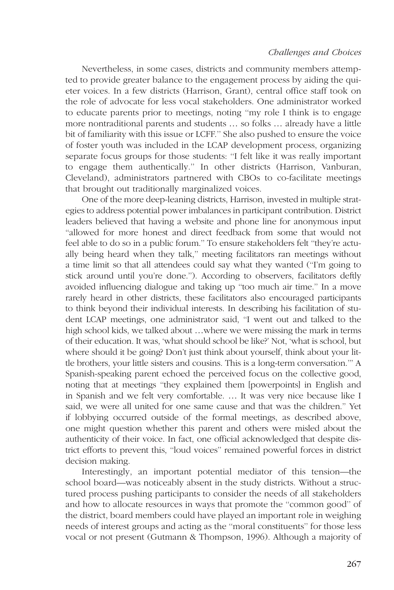Nevertheless, in some cases, districts and community members attempted to provide greater balance to the engagement process by aiding the quieter voices. In a few districts (Harrison, Grant), central office staff took on the role of advocate for less vocal stakeholders. One administrator worked to educate parents prior to meetings, noting ''my role I think is to engage more nontraditional parents and students ... so folks ... already have a little bit of familiarity with this issue or LCFF.'' She also pushed to ensure the voice of foster youth was included in the LCAP development process, organizing separate focus groups for those students: ''I felt like it was really important to engage them authentically.'' In other districts (Harrison, Vanburan, Cleveland), administrators partnered with CBOs to co-facilitate meetings that brought out traditionally marginalized voices.

One of the more deep-leaning districts, Harrison, invested in multiple strategies to address potential power imbalances in participant contribution. District leaders believed that having a website and phone line for anonymous input ''allowed for more honest and direct feedback from some that would not feel able to do so in a public forum.'' To ensure stakeholders felt ''they're actually being heard when they talk,'' meeting facilitators ran meetings without a time limit so that all attendees could say what they wanted (''I'm going to stick around until you're done.''). According to observers, facilitators deftly avoided influencing dialogue and taking up ''too much air time.'' In a move rarely heard in other districts, these facilitators also encouraged participants to think beyond their individual interests. In describing his facilitation of student LCAP meetings, one administrator said, ''I went out and talked to the high school kids, we talked about ...where we were missing the mark in terms of their education. It was, 'what should school be like?' Not, 'what is school, but where should it be going? Don't just think about yourself, think about your little brothers, your little sisters and cousins. This is a long-term conversation.''' A Spanish-speaking parent echoed the perceived focus on the collective good, noting that at meetings ''they explained them [powerpoints] in English and in Spanish and we felt very comfortable. ... It was very nice because like I said, we were all united for one same cause and that was the children.'' Yet if lobbying occurred outside of the formal meetings, as described above, one might question whether this parent and others were misled about the authenticity of their voice. In fact, one official acknowledged that despite district efforts to prevent this, ''loud voices'' remained powerful forces in district decision making.

Interestingly, an important potential mediator of this tension—the school board—was noticeably absent in the study districts. Without a structured process pushing participants to consider the needs of all stakeholders and how to allocate resources in ways that promote the ''common good'' of the district, board members could have played an important role in weighing needs of interest groups and acting as the ''moral constituents'' for those less vocal or not present (Gutmann & Thompson, 1996). Although a majority of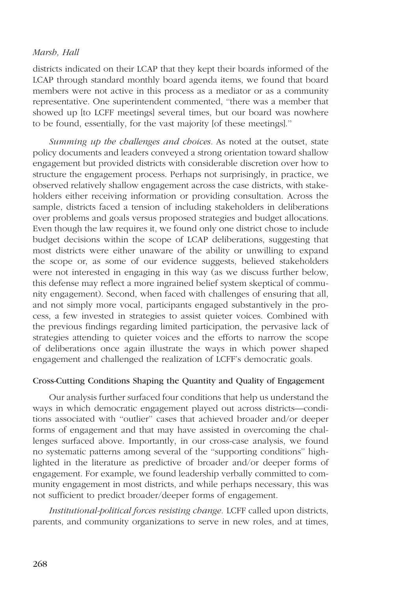districts indicated on their LCAP that they kept their boards informed of the LCAP through standard monthly board agenda items, we found that board members were not active in this process as a mediator or as a community representative. One superintendent commented, ''there was a member that showed up [to LCFF meetings] several times, but our board was nowhere to be found, essentially, for the vast majority [of these meetings].''

Summing up the challenges and choices. As noted at the outset, state policy documents and leaders conveyed a strong orientation toward shallow engagement but provided districts with considerable discretion over how to structure the engagement process. Perhaps not surprisingly, in practice, we observed relatively shallow engagement across the case districts, with stakeholders either receiving information or providing consultation. Across the sample, districts faced a tension of including stakeholders in deliberations over problems and goals versus proposed strategies and budget allocations. Even though the law requires it, we found only one district chose to include budget decisions within the scope of LCAP deliberations, suggesting that most districts were either unaware of the ability or unwilling to expand the scope or, as some of our evidence suggests, believed stakeholders were not interested in engaging in this way (as we discuss further below, this defense may reflect a more ingrained belief system skeptical of community engagement). Second, when faced with challenges of ensuring that all, and not simply more vocal, participants engaged substantively in the process, a few invested in strategies to assist quieter voices. Combined with the previous findings regarding limited participation, the pervasive lack of strategies attending to quieter voices and the efforts to narrow the scope of deliberations once again illustrate the ways in which power shaped engagement and challenged the realization of LCFF's democratic goals.

### Cross-Cutting Conditions Shaping the Quantity and Quality of Engagement

Our analysis further surfaced four conditions that help us understand the ways in which democratic engagement played out across districts—conditions associated with ''outlier'' cases that achieved broader and/or deeper forms of engagement and that may have assisted in overcoming the challenges surfaced above. Importantly, in our cross-case analysis, we found no systematic patterns among several of the ''supporting conditions'' highlighted in the literature as predictive of broader and/or deeper forms of engagement. For example, we found leadership verbally committed to community engagement in most districts, and while perhaps necessary, this was not sufficient to predict broader/deeper forms of engagement.

Institutional-political forces resisting change. LCFF called upon districts, parents, and community organizations to serve in new roles, and at times,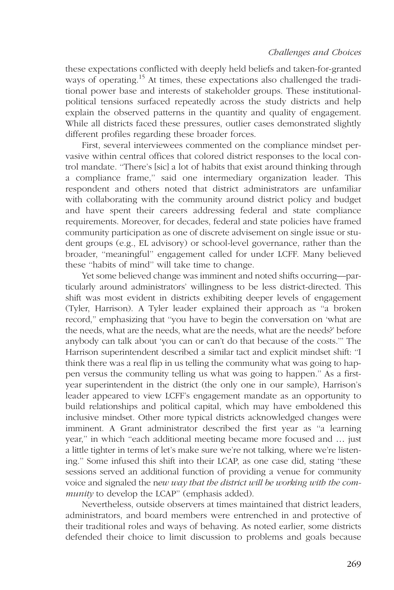these expectations conflicted with deeply held beliefs and taken-for-granted ways of operating.<sup>15</sup> At times, these expectations also challenged the traditional power base and interests of stakeholder groups. These institutionalpolitical tensions surfaced repeatedly across the study districts and help explain the observed patterns in the quantity and quality of engagement. While all districts faced these pressures, outlier cases demonstrated slightly different profiles regarding these broader forces.

First, several interviewees commented on the compliance mindset pervasive within central offices that colored district responses to the local control mandate. ''There's [sic] a lot of habits that exist around thinking through a compliance frame,'' said one intermediary organization leader. This respondent and others noted that district administrators are unfamiliar with collaborating with the community around district policy and budget and have spent their careers addressing federal and state compliance requirements. Moreover, for decades, federal and state policies have framed community participation as one of discrete advisement on single issue or student groups (e.g., EL advisory) or school-level governance, rather than the broader, ''meaningful'' engagement called for under LCFF. Many believed these ''habits of mind'' will take time to change.

Yet some believed change was imminent and noted shifts occurring—particularly around administrators' willingness to be less district-directed. This shift was most evident in districts exhibiting deeper levels of engagement (Tyler, Harrison). A Tyler leader explained their approach as ''a broken record,'' emphasizing that ''you have to begin the conversation on 'what are the needs, what are the needs, what are the needs, what are the needs?' before anybody can talk about 'you can or can't do that because of the costs.''' The Harrison superintendent described a similar tact and explicit mindset shift: ''I think there was a real flip in us telling the community what was going to happen versus the community telling us what was going to happen.'' As a firstyear superintendent in the district (the only one in our sample), Harrison's leader appeared to view LCFF's engagement mandate as an opportunity to build relationships and political capital, which may have emboldened this inclusive mindset. Other more typical districts acknowledged changes were imminent. A Grant administrator described the first year as ''a learning year," in which "each additional meeting became more focused and ... just a little tighter in terms of let's make sure we're not talking, where we're listening.'' Some infused this shift into their LCAP, as one case did, stating ''these sessions served an additional function of providing a venue for community voice and signaled the new way that the district will be working with the community to develop the LCAP" (emphasis added).

Nevertheless, outside observers at times maintained that district leaders, administrators, and board members were entrenched in and protective of their traditional roles and ways of behaving. As noted earlier, some districts defended their choice to limit discussion to problems and goals because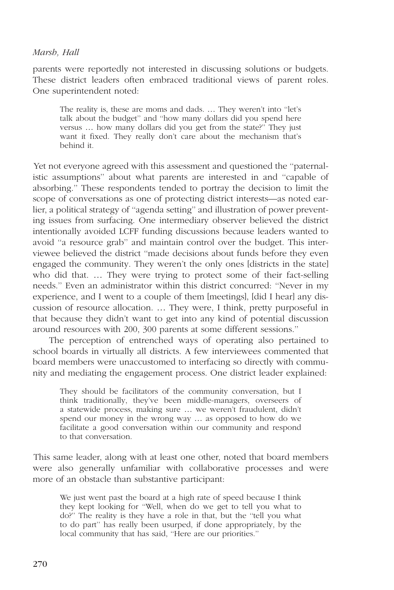parents were reportedly not interested in discussing solutions or budgets. These district leaders often embraced traditional views of parent roles. One superintendent noted:

The reality is, these are moms and dads. ... They weren't into "let's talk about the budget'' and ''how many dollars did you spend here versus ... how many dollars did you get from the state?" They just want it fixed. They really don't care about the mechanism that's behind it.

Yet not everyone agreed with this assessment and questioned the ''paternalistic assumptions'' about what parents are interested in and ''capable of absorbing.'' These respondents tended to portray the decision to limit the scope of conversations as one of protecting district interests—as noted earlier, a political strategy of ''agenda setting'' and illustration of power preventing issues from surfacing. One intermediary observer believed the district intentionally avoided LCFF funding discussions because leaders wanted to avoid ''a resource grab'' and maintain control over the budget. This interviewee believed the district ''made decisions about funds before they even engaged the community. They weren't the only ones [districts in the state] who did that. ... They were trying to protect some of their fact-selling needs.'' Even an administrator within this district concurred: ''Never in my experience, and I went to a couple of them [meetings], [did I hear] any discussion of resource allocation. ... They were, I think, pretty purposeful in that because they didn't want to get into any kind of potential discussion around resources with 200, 300 parents at some different sessions.''

The perception of entrenched ways of operating also pertained to school boards in virtually all districts. A few interviewees commented that board members were unaccustomed to interfacing so directly with community and mediating the engagement process. One district leader explained:

They should be facilitators of the community conversation, but I think traditionally, they've been middle-managers, overseers of a statewide process, making sure ... we weren't fraudulent, didn't spend our money in the wrong way ... as opposed to how do we facilitate a good conversation within our community and respond to that conversation.

This same leader, along with at least one other, noted that board members were also generally unfamiliar with collaborative processes and were more of an obstacle than substantive participant:

We just went past the board at a high rate of speed because I think they kept looking for ''Well, when do we get to tell you what to do?'' The reality is they have a role in that, but the ''tell you what to do part'' has really been usurped, if done appropriately, by the local community that has said, ''Here are our priorities.''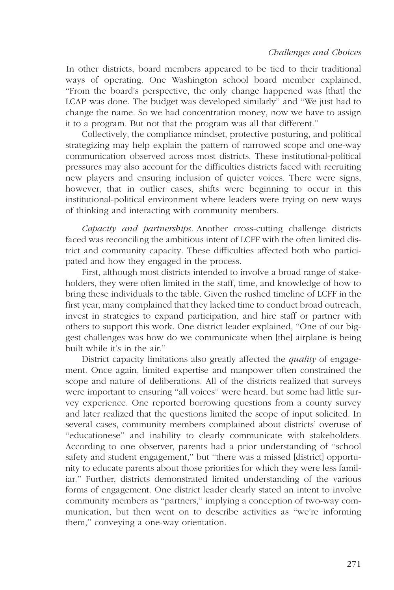In other districts, board members appeared to be tied to their traditional ways of operating. One Washington school board member explained, ''From the board's perspective, the only change happened was [that] the LCAP was done. The budget was developed similarly'' and ''We just had to change the name. So we had concentration money, now we have to assign it to a program. But not that the program was all that different.''

Collectively, the compliance mindset, protective posturing, and political strategizing may help explain the pattern of narrowed scope and one-way communication observed across most districts. These institutional-political pressures may also account for the difficulties districts faced with recruiting new players and ensuring inclusion of quieter voices. There were signs, however, that in outlier cases, shifts were beginning to occur in this institutional-political environment where leaders were trying on new ways of thinking and interacting with community members.

Capacity and partnerships. Another cross-cutting challenge districts faced was reconciling the ambitious intent of LCFF with the often limited district and community capacity. These difficulties affected both who participated and how they engaged in the process.

First, although most districts intended to involve a broad range of stakeholders, they were often limited in the staff, time, and knowledge of how to bring these individuals to the table. Given the rushed timeline of LCFF in the first year, many complained that they lacked time to conduct broad outreach, invest in strategies to expand participation, and hire staff or partner with others to support this work. One district leader explained, ''One of our biggest challenges was how do we communicate when [the] airplane is being built while it's in the air.''

District capacity limitations also greatly affected the *quality* of engagement. Once again, limited expertise and manpower often constrained the scope and nature of deliberations. All of the districts realized that surveys were important to ensuring "all voices" were heard, but some had little survey experience. One reported borrowing questions from a county survey and later realized that the questions limited the scope of input solicited. In several cases, community members complained about districts' overuse of ''educationese'' and inability to clearly communicate with stakeholders. According to one observer, parents had a prior understanding of ''school safety and student engagement,'' but ''there was a missed [district] opportunity to educate parents about those priorities for which they were less familiar.'' Further, districts demonstrated limited understanding of the various forms of engagement. One district leader clearly stated an intent to involve community members as ''partners,'' implying a conception of two-way communication, but then went on to describe activities as ''we're informing them,'' conveying a one-way orientation.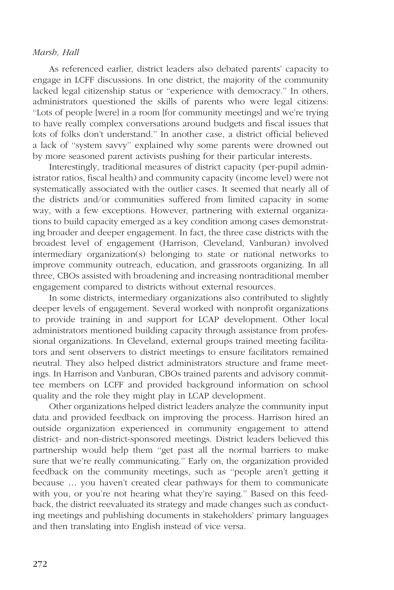As referenced earlier, district leaders also debated parents' capacity to engage in LCFF discussions. In one district, the majority of the community lacked legal citizenship status or ''experience with democracy.'' In others, administrators questioned the skills of parents who were legal citizens: ''Lots of people [were] in a room [for community meetings] and we're trying to have really complex conversations around budgets and fiscal issues that lots of folks don't understand.'' In another case, a district official believed a lack of ''system savvy'' explained why some parents were drowned out by more seasoned parent activists pushing for their particular interests.

Interestingly, traditional measures of district capacity (per-pupil administrator ratios, fiscal health) and community capacity (income level) were not systematically associated with the outlier cases. It seemed that nearly all of the districts and/or communities suffered from limited capacity in some way, with a few exceptions. However, partnering with external organizations to build capacity emerged as a key condition among cases demonstrating broader and deeper engagement. In fact, the three case districts with the broadest level of engagement (Harrison, Cleveland, Vanburan) involved intermediary organization(s) belonging to state or national networks to improve community outreach, education, and grassroots organizing. In all three, CBOs assisted with broadening and increasing nontraditional member engagement compared to districts without external resources.

In some districts, intermediary organizations also contributed to slightly deeper levels of engagement. Several worked with nonprofit organizations to provide training in and support for LCAP development. Other local administrators mentioned building capacity through assistance from professional organizations. In Cleveland, external groups trained meeting facilitators and sent observers to district meetings to ensure facilitators remained neutral. They also helped district administrators structure and frame meetings. In Harrison and Vanburan, CBOs trained parents and advisory committee members on LCFF and provided background information on school quality and the role they might play in LCAP development.

Other organizations helped district leaders analyze the community input data and provided feedback on improving the process. Harrison hired an outside organization experienced in community engagement to attend district- and non-district-sponsored meetings. District leaders believed this partnership would help them ''get past all the normal barriers to make sure that we're really communicating.'' Early on, the organization provided feedback on the community meetings, such as ''people aren't getting it because ... you haven't created clear pathways for them to communicate with you, or you're not hearing what they're saying.'' Based on this feedback, the district reevaluated its strategy and made changes such as conducting meetings and publishing documents in stakeholders' primary languages and then translating into English instead of vice versa.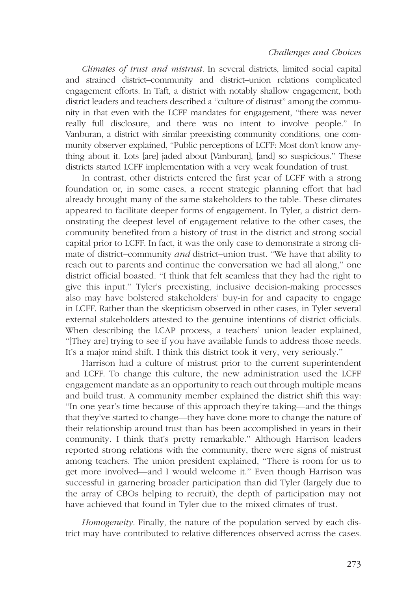Climates of trust and mistrust. In several districts, limited social capital and strained district–community and district–union relations complicated engagement efforts. In Taft, a district with notably shallow engagement, both district leaders and teachers described a ''culture of distrust'' among the community in that even with the LCFF mandates for engagement, ''there was never really full disclosure, and there was no intent to involve people.'' In Vanburan, a district with similar preexisting community conditions, one community observer explained, ''Public perceptions of LCFF: Most don't know anything about it. Lots [are] jaded about [Vanburan], [and] so suspicious.'' These districts started LCFF implementation with a very weak foundation of trust.

In contrast, other districts entered the first year of LCFF with a strong foundation or, in some cases, a recent strategic planning effort that had already brought many of the same stakeholders to the table. These climates appeared to facilitate deeper forms of engagement. In Tyler, a district demonstrating the deepest level of engagement relative to the other cases, the community benefited from a history of trust in the district and strong social capital prior to LCFF. In fact, it was the only case to demonstrate a strong climate of district–community and district–union trust. "We have that ability to reach out to parents and continue the conversation we had all along,'' one district official boasted. ''I think that felt seamless that they had the right to give this input.'' Tyler's preexisting, inclusive decision-making processes also may have bolstered stakeholders' buy-in for and capacity to engage in LCFF. Rather than the skepticism observed in other cases, in Tyler several external stakeholders attested to the genuine intentions of district officials. When describing the LCAP process, a teachers' union leader explained, ''[They are] trying to see if you have available funds to address those needs. It's a major mind shift. I think this district took it very, very seriously.''

Harrison had a culture of mistrust prior to the current superintendent and LCFF. To change this culture, the new administration used the LCFF engagement mandate as an opportunity to reach out through multiple means and build trust. A community member explained the district shift this way: ''In one year's time because of this approach they're taking—and the things that they've started to change—they have done more to change the nature of their relationship around trust than has been accomplished in years in their community. I think that's pretty remarkable.'' Although Harrison leaders reported strong relations with the community, there were signs of mistrust among teachers. The union president explained, ''There is room for us to get more involved—and I would welcome it.'' Even though Harrison was successful in garnering broader participation than did Tyler (largely due to the array of CBOs helping to recruit), the depth of participation may not have achieved that found in Tyler due to the mixed climates of trust.

Homogeneity. Finally, the nature of the population served by each district may have contributed to relative differences observed across the cases.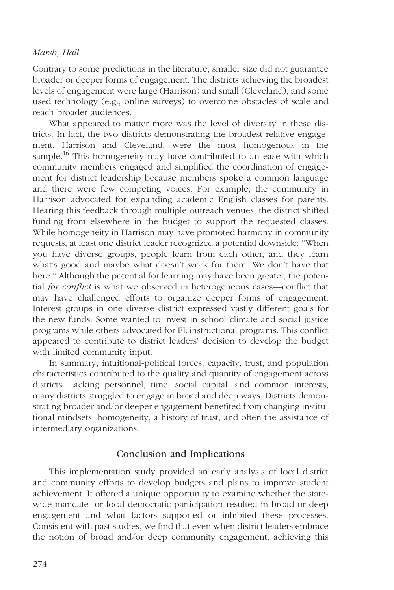Contrary to some predictions in the literature, smaller size did not guarantee broader or deeper forms of engagement. The districts achieving the broadest levels of engagement were large (Harrison) and small (Cleveland), and some used technology (e.g., online surveys) to overcome obstacles of scale and reach broader audiences.

What appeared to matter more was the level of diversity in these districts. In fact, the two districts demonstrating the broadest relative engagement, Harrison and Cleveland, were the most homogenous in the sample.<sup>16</sup> This homogeneity may have contributed to an ease with which community members engaged and simplified the coordination of engagement for district leadership because members spoke a common language and there were few competing voices. For example, the community in Harrison advocated for expanding academic English classes for parents. Hearing this feedback through multiple outreach venues, the district shifted funding from elsewhere in the budget to support the requested classes. While homogeneity in Harrison may have promoted harmony in community requests, at least one district leader recognized a potential downside: ''When you have diverse groups, people learn from each other, and they learn what's good and maybe what doesn't work for them. We don't have that here.'' Although the potential for learning may have been greater, the potential for conflict is what we observed in heterogeneous cases—conflict that may have challenged efforts to organize deeper forms of engagement. Interest groups in one diverse district expressed vastly different goals for the new funds: Some wanted to invest in school climate and social justice programs while others advocated for EL instructional programs. This conflict appeared to contribute to district leaders' decision to develop the budget with limited community input.

In summary, intuitional-political forces, capacity, trust, and population characteristics contributed to the quality and quantity of engagement across districts. Lacking personnel, time, social capital, and common interests, many districts struggled to engage in broad and deep ways. Districts demonstrating broader and/or deeper engagement benefited from changing institutional mindsets, homogeneity, a history of trust, and often the assistance of intermediary organizations.

# Conclusion and Implications

This implementation study provided an early analysis of local district and community efforts to develop budgets and plans to improve student achievement. It offered a unique opportunity to examine whether the statewide mandate for local democratic participation resulted in broad or deep engagement and what factors supported or inhibited these processes. Consistent with past studies, we find that even when district leaders embrace the notion of broad and/or deep community engagement, achieving this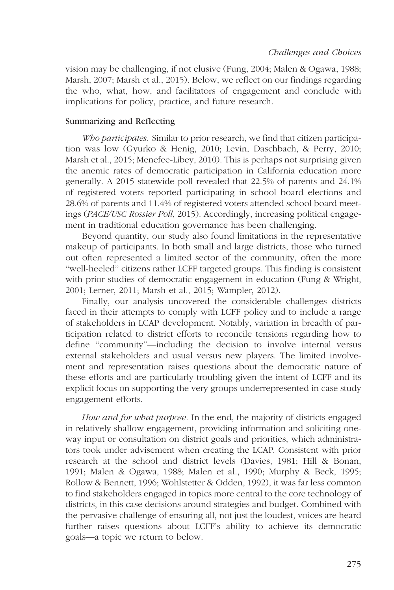vision may be challenging, if not elusive (Fung, 2004; Malen & Ogawa, 1988; Marsh, 2007; Marsh et al., 2015). Below, we reflect on our findings regarding the who, what, how, and facilitators of engagement and conclude with implications for policy, practice, and future research.

## Summarizing and Reflecting

Who participates. Similar to prior research, we find that citizen participation was low (Gyurko & Henig, 2010; Levin, Daschbach, & Perry, 2010; Marsh et al., 2015; Menefee-Libey, 2010). This is perhaps not surprising given the anemic rates of democratic participation in California education more generally. A 2015 statewide poll revealed that 22.5% of parents and 24.1% of registered voters reported participating in school board elections and 28.6% of parents and 11.4% of registered voters attended school board meetings (PACE/USC Rossier Poll, 2015). Accordingly, increasing political engagement in traditional education governance has been challenging.

Beyond quantity, our study also found limitations in the representative makeup of participants. In both small and large districts, those who turned out often represented a limited sector of the community, often the more ''well-heeled'' citizens rather LCFF targeted groups. This finding is consistent with prior studies of democratic engagement in education (Fung & Wright, 2001; Lerner, 2011; Marsh et al., 2015; Wampler, 2012).

Finally, our analysis uncovered the considerable challenges districts faced in their attempts to comply with LCFF policy and to include a range of stakeholders in LCAP development. Notably, variation in breadth of participation related to district efforts to reconcile tensions regarding how to define ''community''—including the decision to involve internal versus external stakeholders and usual versus new players. The limited involvement and representation raises questions about the democratic nature of these efforts and are particularly troubling given the intent of LCFF and its explicit focus on supporting the very groups underrepresented in case study engagement efforts.

How and for what purpose. In the end, the majority of districts engaged in relatively shallow engagement, providing information and soliciting oneway input or consultation on district goals and priorities, which administrators took under advisement when creating the LCAP. Consistent with prior research at the school and district levels (Davies, 1981; Hill & Bonan, 1991; Malen & Ogawa, 1988; Malen et al., 1990; Murphy & Beck, 1995; Rollow & Bennett, 1996; Wohlstetter & Odden, 1992), it was far less common to find stakeholders engaged in topics more central to the core technology of districts, in this case decisions around strategies and budget. Combined with the pervasive challenge of ensuring all, not just the loudest, voices are heard further raises questions about LCFF's ability to achieve its democratic goals—a topic we return to below.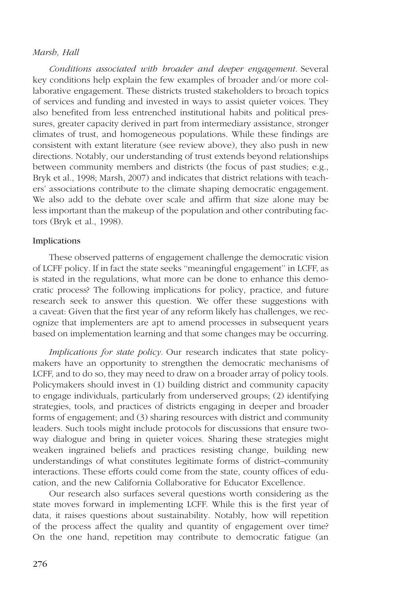Conditions associated with broader and deeper engagement. Several key conditions help explain the few examples of broader and/or more collaborative engagement. These districts trusted stakeholders to broach topics of services and funding and invested in ways to assist quieter voices. They also benefited from less entrenched institutional habits and political pressures, greater capacity derived in part from intermediary assistance, stronger climates of trust, and homogeneous populations. While these findings are consistent with extant literature (see review above), they also push in new directions. Notably, our understanding of trust extends beyond relationships between community members and districts (the focus of past studies; e.g., Bryk et al., 1998; Marsh, 2007) and indicates that district relations with teachers' associations contribute to the climate shaping democratic engagement. We also add to the debate over scale and affirm that size alone may be less important than the makeup of the population and other contributing factors (Bryk et al., 1998).

#### Implications

These observed patterns of engagement challenge the democratic vision of LCFF policy. If in fact the state seeks ''meaningful engagement'' in LCFF, as is stated in the regulations, what more can be done to enhance this democratic process? The following implications for policy, practice, and future research seek to answer this question. We offer these suggestions with a caveat: Given that the first year of any reform likely has challenges, we recognize that implementers are apt to amend processes in subsequent years based on implementation learning and that some changes may be occurring.

Implications for state policy. Our research indicates that state policymakers have an opportunity to strengthen the democratic mechanisms of LCFF, and to do so, they may need to draw on a broader array of policy tools. Policymakers should invest in (1) building district and community capacity to engage individuals, particularly from underserved groups; (2) identifying strategies, tools, and practices of districts engaging in deeper and broader forms of engagement; and (3) sharing resources with district and community leaders. Such tools might include protocols for discussions that ensure twoway dialogue and bring in quieter voices. Sharing these strategies might weaken ingrained beliefs and practices resisting change, building new understandings of what constitutes legitimate forms of district–community interactions. These efforts could come from the state, county offices of education, and the new California Collaborative for Educator Excellence.

Our research also surfaces several questions worth considering as the state moves forward in implementing LCFF. While this is the first year of data, it raises questions about sustainability. Notably, how will repetition of the process affect the quality and quantity of engagement over time? On the one hand, repetition may contribute to democratic fatigue (an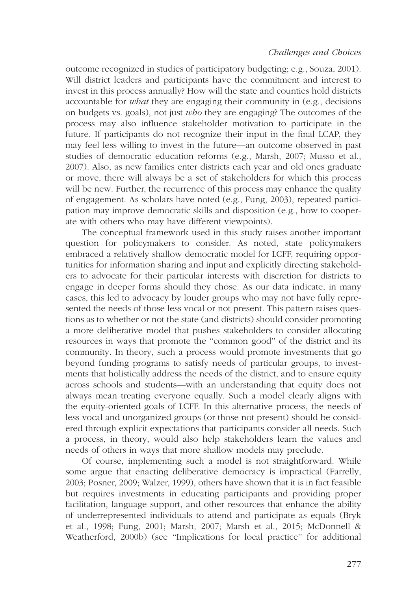outcome recognized in studies of participatory budgeting; e.g., Souza, 2001). Will district leaders and participants have the commitment and interest to invest in this process annually? How will the state and counties hold districts accountable for what they are engaging their community in (e.g., decisions on budgets vs. goals), not just *who* they are engaging? The outcomes of the process may also influence stakeholder motivation to participate in the future. If participants do not recognize their input in the final LCAP, they may feel less willing to invest in the future—an outcome observed in past studies of democratic education reforms (e.g., Marsh, 2007; Musso et al., 2007). Also, as new families enter districts each year and old ones graduate or move, there will always be a set of stakeholders for which this process will be new. Further, the recurrence of this process may enhance the quality of engagement. As scholars have noted (e.g., Fung, 2003), repeated participation may improve democratic skills and disposition (e.g., how to cooperate with others who may have different viewpoints).

The conceptual framework used in this study raises another important question for policymakers to consider. As noted, state policymakers embraced a relatively shallow democratic model for LCFF, requiring opportunities for information sharing and input and explicitly directing stakeholders to advocate for their particular interests with discretion for districts to engage in deeper forms should they chose. As our data indicate, in many cases, this led to advocacy by louder groups who may not have fully represented the needs of those less vocal or not present. This pattern raises questions as to whether or not the state (and districts) should consider promoting a more deliberative model that pushes stakeholders to consider allocating resources in ways that promote the ''common good'' of the district and its community. In theory, such a process would promote investments that go beyond funding programs to satisfy needs of particular groups, to investments that holistically address the needs of the district, and to ensure equity across schools and students—with an understanding that equity does not always mean treating everyone equally. Such a model clearly aligns with the equity-oriented goals of LCFF. In this alternative process, the needs of less vocal and unorganized groups (or those not present) should be considered through explicit expectations that participants consider all needs. Such a process, in theory, would also help stakeholders learn the values and needs of others in ways that more shallow models may preclude.

Of course, implementing such a model is not straightforward. While some argue that enacting deliberative democracy is impractical (Farrelly, 2003; Posner, 2009; Walzer, 1999), others have shown that it is in fact feasible but requires investments in educating participants and providing proper facilitation, language support, and other resources that enhance the ability of underrepresented individuals to attend and participate as equals (Bryk et al., 1998; Fung, 2001; Marsh, 2007; Marsh et al., 2015; McDonnell & Weatherford, 2000b) (see ''Implications for local practice'' for additional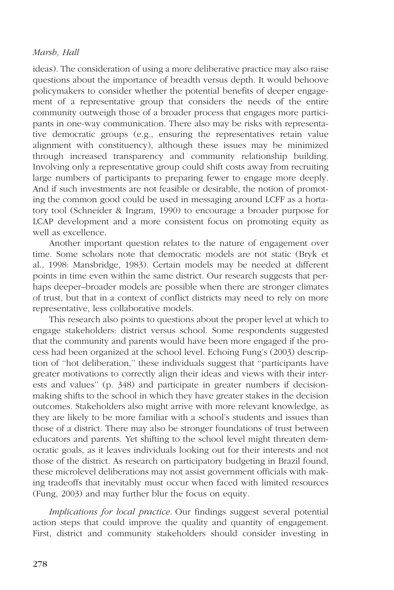ideas). The consideration of using a more deliberative practice may also raise questions about the importance of breadth versus depth. It would behoove policymakers to consider whether the potential benefits of deeper engagement of a representative group that considers the needs of the entire community outweigh those of a broader process that engages more participants in one-way communication. There also may be risks with representative democratic groups (e.g., ensuring the representatives retain value alignment with constituency), although these issues may be minimized through increased transparency and community relationship building. Involving only a representative group could shift costs away from recruiting large numbers of participants to preparing fewer to engage more deeply. And if such investments are not feasible or desirable, the notion of promoting the common good could be used in messaging around LCFF as a hortatory tool (Schneider & Ingram, 1990) to encourage a broader purpose for LCAP development and a more consistent focus on promoting equity as well as excellence.

Another important question relates to the nature of engagement over time. Some scholars note that democratic models are not static (Bryk et al., 1998: Mansbridge, 1983). Certain models may be needed at different points in time even within the same district. Our research suggests that perhaps deeper–broader models are possible when there are stronger climates of trust, but that in a context of conflict districts may need to rely on more representative, less collaborative models.

This research also points to questions about the proper level at which to engage stakeholders: district versus school. Some respondents suggested that the community and parents would have been more engaged if the process had been organized at the school level. Echoing Fung's (2003) description of ''hot deliberation,'' these individuals suggest that ''participants have greater motivations to correctly align their ideas and views with their interests and values'' (p. 348) and participate in greater numbers if decisionmaking shifts to the school in which they have greater stakes in the decision outcomes. Stakeholders also might arrive with more relevant knowledge, as they are likely to be more familiar with a school's students and issues than those of a district. There may also be stronger foundations of trust between educators and parents. Yet shifting to the school level might threaten democratic goals, as it leaves individuals looking out for their interests and not those of the district. As research on participatory budgeting in Brazil found, these microlevel deliberations may not assist government officials with making tradeoffs that inevitably must occur when faced with limited resources (Fung, 2003) and may further blur the focus on equity.

Implications for local practice. Our findings suggest several potential action steps that could improve the quality and quantity of engagement. First, district and community stakeholders should consider investing in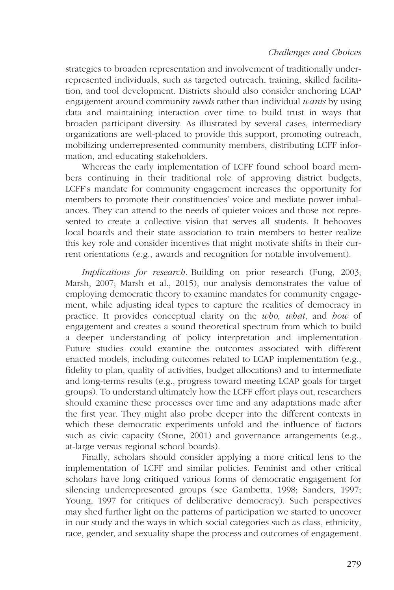strategies to broaden representation and involvement of traditionally underrepresented individuals, such as targeted outreach, training, skilled facilitation, and tool development. Districts should also consider anchoring LCAP engagement around community *needs* rather than individual *wants* by using data and maintaining interaction over time to build trust in ways that broaden participant diversity. As illustrated by several cases, intermediary organizations are well-placed to provide this support, promoting outreach, mobilizing underrepresented community members, distributing LCFF information, and educating stakeholders.

Whereas the early implementation of LCFF found school board members continuing in their traditional role of approving district budgets, LCFF's mandate for community engagement increases the opportunity for members to promote their constituencies' voice and mediate power imbalances. They can attend to the needs of quieter voices and those not represented to create a collective vision that serves all students. It behooves local boards and their state association to train members to better realize this key role and consider incentives that might motivate shifts in their current orientations (e.g., awards and recognition for notable involvement).

Implications for research. Building on prior research (Fung, 2003; Marsh, 2007; Marsh et al., 2015), our analysis demonstrates the value of employing democratic theory to examine mandates for community engagement, while adjusting ideal types to capture the realities of democracy in practice. It provides conceptual clarity on the who, what, and how of engagement and creates a sound theoretical spectrum from which to build a deeper understanding of policy interpretation and implementation. Future studies could examine the outcomes associated with different enacted models, including outcomes related to LCAP implementation (e.g., fidelity to plan, quality of activities, budget allocations) and to intermediate and long-terms results (e.g., progress toward meeting LCAP goals for target groups). To understand ultimately how the LCFF effort plays out, researchers should examine these processes over time and any adaptations made after the first year. They might also probe deeper into the different contexts in which these democratic experiments unfold and the influence of factors such as civic capacity (Stone, 2001) and governance arrangements (e.g., at-large versus regional school boards).

Finally, scholars should consider applying a more critical lens to the implementation of LCFF and similar policies. Feminist and other critical scholars have long critiqued various forms of democratic engagement for silencing underrepresented groups (see Gambetta, 1998; Sanders, 1997; Young, 1997 for critiques of deliberative democracy). Such perspectives may shed further light on the patterns of participation we started to uncover in our study and the ways in which social categories such as class, ethnicity, race, gender, and sexuality shape the process and outcomes of engagement.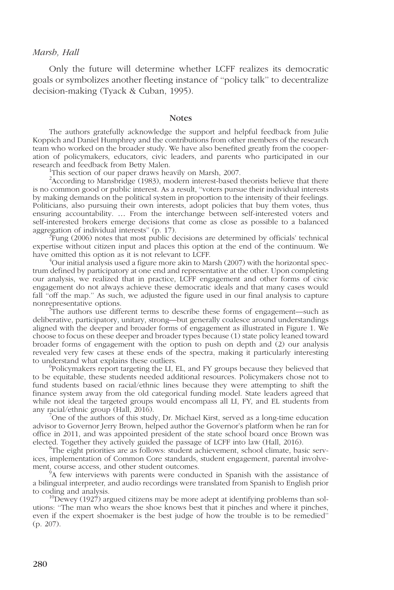Only the future will determine whether LCFF realizes its democratic goals or symbolizes another fleeting instance of ''policy talk'' to decentralize decision-making (Tyack & Cuban, 1995).

#### **Notes**

The authors gratefully acknowledge the support and helpful feedback from Julie Koppich and Daniel Humphrey and the contributions from other members of the research team who worked on the broader study. We have also benefited greatly from the cooperation of policymakers, educators, civic leaders, and parents who participated in our research and feedback from Betty Malen. <sup>1</sup>

<sup>1</sup>This section of our paper draws heavily on Marsh, 2007.

<sup>2</sup> According to Mansbridge (1983), modern interest-based theorists believe that there is no common good or public interest. As a result, ''voters pursue their individual interests by making demands on the political system in proportion to the intensity of their feelings. Politicians, also pursuing their own interests, adopt policies that buy them votes, thus ensuring accountability. ... From the interchange between self-interested voters and self-interested brokers emerge decisions that come as close as possible to a balanced aggregation of individual interests" (p. 17).

 ${}^{3}$ Fung (2006) notes that most public decisions are determined by officials' technical expertise without citizen input and places this option at the end of the continuum. We have omitted this option as it is not relevant to LCFF.

 $^4$ Our initial analysis used a figure more akin to Marsh (2007) with the horizontal spectrum defined by participatory at one end and representative at the other. Upon completing our analysis, we realized that in practice, LCFF engagement and other forms of civic engagement do not always achieve these democratic ideals and that many cases would fall "off the map." As such, we adjusted the figure used in our final analysis to capture nonrepresentative options. <sup>5</sup>

The authors use different terms to describe these forms of engagement—such as deliberative, participatory, unitary, strong—but generally coalesce around understandings aligned with the deeper and broader forms of engagement as illustrated in Figure 1. We choose to focus on these deeper and broader types because (1) state policy leaned toward broader forms of engagement with the option to push on depth and (2) our analysis revealed very few cases at these ends of the spectra, making it particularly interesting to understand what explains these outliers.

Policymakers report targeting the LI, EL, and FY groups because they believed that to be equitable, these students needed additional resources. Policymakers chose not to fund students based on racial/ethnic lines because they were attempting to shift the finance system away from the old categorical funding model. State leaders agreed that while not ideal the targeted groups would encompass all LI, FY, and EL students from any racial/ethnic group (Hall, 2016). <sup>7</sup>

 $\sqrt{a}$ One of the authors of this study, Dr. Michael Kirst, served as a long-time education advisor to Governor Jerry Brown, helped author the Governor's platform when he ran for office in 2011, and was appointed president of the state school board once Brown was elected. Together they actively guided the passage of LCFF into law (Hall, 2016).

<sup>8</sup>The eight priorities are as follows: student achievement, school climate, basic services, implementation of Common Core standards, student engagement, parental involvement, course access, and other student outcomes.

<sup>9</sup>A few interviews with parents were conducted in Spanish with the assistance of a bilingual interpreter, and audio recordings were translated from Spanish to English prior to coding and analysis.<br><sup>10</sup>Dewey (1927) argued citizens may be more adept at identifying problems than sol-

utions: ''The man who wears the shoe knows best that it pinches and where it pinches, even if the expert shoemaker is the best judge of how the trouble is to be remedied'' (p. 207).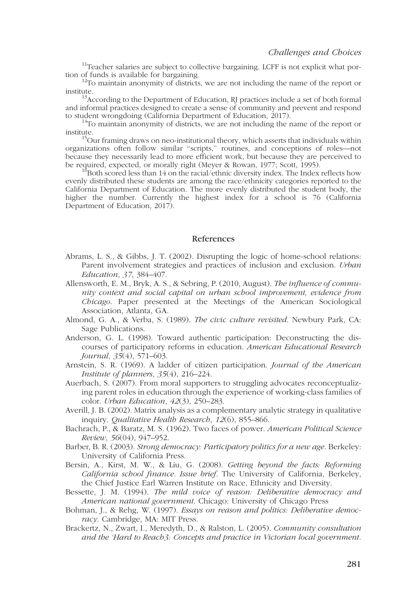<sup>11</sup>Teacher salaries are subject to collective bargaining. LCFF is not explicit what portion of funds is available for bargaining.

 $\frac{12}{12}$ To maintain anonymity of districts, we are not including the name of the report or institute.

 $13$ According to the Department of Education, RJ practices include a set of both formal and informal practices designed to create a sense of community and prevent and respond to student wrongdoing (California Department of Education, 2017).

 $14$ To maintain anonymity of districts, we are not including the name of the report or institute.<br><sup>15</sup>Our framing draws on neo-institutional theory, which asserts that individuals within

organizations often follow similar ''scripts,'' routines, and conceptions of roles—not because they necessarily lead to more efficient work, but because they are perceived to be required, expected, or morally right (Meyer & Rowan, 1977; Scott, 1995).<br><sup>16</sup>Both scored less than 14 on the racial/ethnic diversity index. The Index reflects how

evenly distributed these students are among the race/ethnicity categories reported to the California Department of Education. The more evenly distributed the student body, the higher the number. Currently the highest index for a school is 76 (California Department of Education, 2017).

#### References

- Abrams, L. S., & Gibbs, J. T. (2002). Disrupting the logic of home-school relations: Parent involvement strategies and practices of inclusion and exclusion. Urban Education, 37, 384–407.
- Allensworth, E. M., Bryk, A. S., & Sebring, P. (2010, August). The influence of community context and social capital on urban school improvement, evidence from Chicago. Paper presented at the Meetings of the American Sociological Association, Atlanta, GA.
- Almond, G. A., & Verba, S. (1989). The civic culture revisited. Newbury Park, CA: Sage Publications.
- Anderson, G. L. (1998). Toward authentic participation: Deconstructing the discourses of participatory reforms in education. American Educational Research Journal, 35(4), 571–603.
- Arnstein, S. R. (1969). A ladder of citizen participation. Journal of the American Institute of planners, 35(4), 216–224.
- Auerbach, S. (2007). From moral supporters to struggling advocates reconceptualizing parent roles in education through the experience of working-class families of color. Urban Education, 42(3), 250–283.
- Averill, J. B. (2002). Matrix analysis as a complementary analytic strategy in qualitative inquiry. Qualitative Health Research, 12(6), 855–866.
- Bachrach, P., & Baratz, M. S. (1962). Two faces of power. American Political Science Review, 56(04), 947–952.
- Barber, B. R. (2003). Strong democracy: Participatory politics for a new age. Berkeley: University of California Press.
- Bersin, A., Kirst, M. W., & Liu, G. (2008). Getting beyond the facts: Reforming California school finance. Issue brief. The University of California, Berkeley, the Chief Justice Earl Warren Institute on Race, Ethnicity and Diversity.
- Bessette, J. M. (1994). The mild voice of reason: Deliberative democracy and American national government. Chicago: University of Chicago Press
- Bohman, J., & Rehg, W. (1997). Essays on reason and politics: Deliberative democracy. Cambridge, MA: MIT Press.
- Brackertz, N., Zwart, I., Meredyth, D., & Ralston, L. (2005). Community consultation and the 'Hard to Reach3: Concepts and practice in Victorian local government.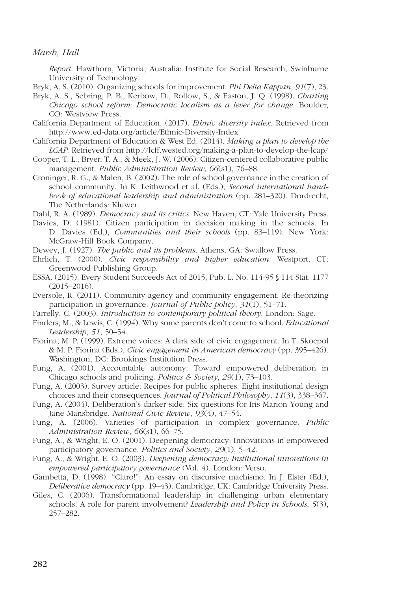Report. Hawthorn, Victoria, Australia: Institute for Social Research, Swinburne University of Technology.

- Bryk, A. S. (2010). Organizing schools for improvement. *Phi Delta Kappan*, 91(7), 23.
- Bryk, A. S., Sebring, P. B., Kerbow, D., Rollow, S., & Easton, J. Q. (1998). Charting Chicago school reform: Democratic localism as a lever for change. Boulder, CO: Westview Press.
- California Department of Education. (2017). Ethnic diversity index. Retrieved from http://www.ed-data.org/article/Ethnic-Diversity-Index
- California Department of Education & West Ed. (2014). Making a plan to develop the LCAP. Retrieved from http://lcff.wested.org/making-a-plan-to-develop-the-lcap/
- Cooper, T. L., Bryer, T. A., & Meek, J. W. (2006). Citizen-centered collaborative public management. Public Administration Review, 66(s1), 76–88.
- Croninger, R. G., & Malen, B. (2002). The role of school governance in the creation of school community. In K. Leithwood et al. (Eds.), Second international handbook of educational leadership and administration (pp. 281–320). Dordrecht, The Netherlands: Kluwer.

Dahl, R. A. (1989). Democracy and its critics. New Haven, CT: Yale University Press.

Davies, D. (1981). Citizen participation in decision making in the schools. In D. Davies (Ed.), Communities and their schools (pp. 83–119). New York: McGraw-Hill Book Company.

Dewey, J. (1927). The public and its problems. Athens, GA: Swallow Press.

- Ehrlich, T. (2000). Civic responsibility and higher education. Westport, CT: Greenwood Publishing Group.
- ESSA. (2015). Every Student Succeeds Act of 2015, Pub. L. No. 114-95 § 114 Stat. 1177 (2015–2016).
- Eversole, R. (2011). Community agency and community engagement: Re-theorizing participation in governance. Journal of Public policy, 31(1), 51–71.

Farrelly, C. (2003). Introduction to contemporary political theory. London: Sage.

- Finders, M., & Lewis, C. (1994). Why some parents don't come to school. Educational Leadership, 51, 50–54.
- Fiorina, M. P. (1999). Extreme voices: A dark side of civic engagement. In T. Skocpol & M. P. Fiorina (Eds.), Civic engagement in American democracy (pp. 395–426). Washington, DC: Brookings Institution Press.
- Fung, A. (2001). Accountable autonomy: Toward empowered deliberation in Chicago schools and policing. Politics & Society, 29(1), 73–103.
- Fung, A. (2003). Survey article: Recipes for public spheres: Eight institutional design choices and their consequences. Journal of Political Philosophy, 11(3), 338–367.
- Fung, A. (2004). Deliberation's darker side: Six questions for Iris Marion Young and Jane Mansbridge. National Civic Review, 93(4), 47–54.
- Fung, A. (2006). Varieties of participation in complex governance. Public Administration Review, 66(s1), 66-75.
- Fung, A., & Wright, E. O. (2001). Deepening democracy: Innovations in empowered participatory governance. Politics and Society, 29(1), 5–42.
- Fung, A., & Wright, E. O. (2003). Deepening democracy: Institutional innovations in empowered participatory governance (Vol. 4). London: Verso.
- Gambetta, D. (1998). ''Claro!'': An essay on discursive machismo. In J. Elster (Ed.), Deliberative democracy (pp. 19–43). Cambridge, UK: Cambridge University Press.
- Giles, C. (2006). Transformational leadership in challenging urban elementary schools: A role for parent involvement? *Leadership and Policy in Schools*, 5(3), 257–282.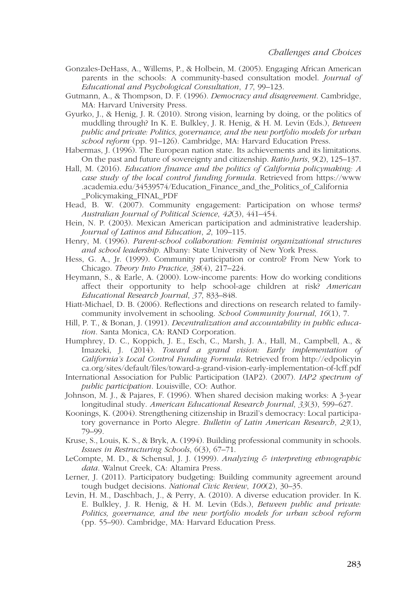- Gonzales-DeHass, A., Willems, P., & Holbein, M. (2005). Engaging African American parents in the schools: A community-based consultation model. Journal of Educational and Psychological Consultation, 17, 99–123.
- Gutmann, A., & Thompson, D. F. (1996). Democracy and disagreement. Cambridge, MA: Harvard University Press.
- Gyurko, J., & Henig, J. R. (2010). Strong vision, learning by doing, or the politics of muddling through? In K. E. Bulkley, J. R. Henig, & H. M. Levin (Eds.), Between public and private: Politics, governance, and the new portfolio models for urban school reform (pp. 91–126). Cambridge, MA: Harvard Education Press.
- Habermas, J. (1996). The European nation state. Its achievements and its limitations. On the past and future of sovereignty and citizenship. Ratio Juris, 9(2), 125–137.
- Hall, M. (2016). Education finance and the politics of California policymaking: A case study of the local control funding formula. Retrieved from https://www [.academia.edu/34539574/Education\\_Finance\\_and\\_the\\_Politics\\_of\\_California](https://www.academia.edu/34539574/Education_Finance_and_the_Politics_of_California_Policymaking_FINAL_PDF) \_Policymaking\_FINAL\_PDF
- Head, B. W. (2007). Community engagement: Participation on whose terms? Australian Journal of Political Science, 42(3), 441–454.
- Hein, N. P. (2003). Mexican American participation and administrative leadership. Journal of Latinos and Education, 2, 109–115.
- Henry, M. (1996). Parent-school collaboration: Feminist organizational structures and school leadership. Albany: State University of New York Press.
- Hess, G. A., Jr. (1999). Community participation or control? From New York to Chicago. Theory Into Practice, 38(4), 217–224.
- Heymann, S., & Earle, A. (2000). Low-income parents: How do working conditions affect their opportunity to help school-age children at risk? American Educational Research Journal, 37, 833–848.
- Hiatt-Michael, D. B. (2006). Reflections and directions on research related to familycommunity involvement in schooling. School Community Journal, 16(1), 7.
- Hill, P. T., & Bonan, J. (1991). Decentralization and accountability in public education. Santa Monica, CA: RAND Corporation.
- Humphrey, D. C., Koppich, J. E., Esch, C., Marsh, J. A., Hall, M., Campbell, A., & Imazeki, J. (2014). Toward a grand vision: Early implementation of California's Local Control Funding Formula. Retrieved from http://edpolicyin [ca.org/sites/default/files/toward-a-grand-vision-early-implementation-of-lcff.pdf](http://edpolicyinca.org/sites/default/files/toward-a-grand-vision-early-implementation-of-lcff.pdf)
- International Association for Public Participation (IAP2). (2007). IAP2 spectrum of public participation. Louisville, CO: Author.
- Johnson, M. J., & Pajares, F. (1996). When shared decision making works: A 3-year longitudinal study. American Educational Research Journal, 33(3), 599–627.
- Koonings, K. (2004). Strengthening citizenship in Brazil's democracy: Local participatory governance in Porto Alegre. Bulletin of Latin American Research, 23(1), 79–99.
- Kruse, S., Louis, K. S., & Bryk, A. (1994). Building professional community in schools. Issues in Restructuring Schools, 6(3), 67–71.
- LeCompte, M. D., & Schensul, J. J. (1999). Analyzing  $\epsilon$  interpreting ethnographic data. Walnut Creek, CA: Altamira Press.
- Lerner, J. (2011). Participatory budgeting: Building community agreement around tough budget decisions. National Civic Review, 100(2), 30-35.
- Levin, H. M., Daschbach, J., & Perry, A. (2010). A diverse education provider. In K. E. Bulkley, J. R. Henig, & H. M. Levin (Eds.), Between public and private: Politics, governance, and the new portfolio models for urban school reform (pp. 55–90). Cambridge, MA: Harvard Education Press.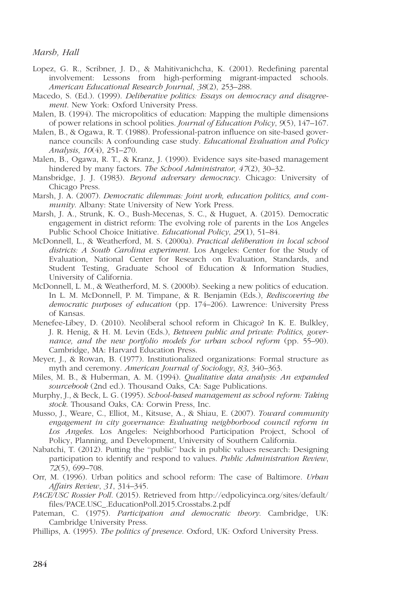- Lopez, G. R., Scribner, J. D., & Mahitivanichcha, K. (2001). Redefining parental involvement: Lessons from high-performing migrant-impacted schools. American Educational Research Journal, 38(2), 253–288.
- Macedo, S. (Ed.). (1999). *Deliberative politics: Essays on democracy and disagree*ment. New York: Oxford University Press.
- Malen, B. (1994). The micropolitics of education: Mapping the multiple dimensions of power relations in school polities. Journal of Education Policy, 9(5), 147–167.
- Malen, B., & Ogawa, R. T. (1988). Professional-patron influence on site-based governance councils: A confounding case study. Educational Evaluation and Policy Analysis, 10(4), 251–270.
- Malen, B., Ogawa, R. T., & Kranz, J. (1990). Evidence says site-based management hindered by many factors. The School Administrator, 47(2), 30–32.
- Mansbridge, J. J. (1983). Beyond adversary democracy. Chicago: University of Chicago Press.
- Marsh, J. A. (2007). Democratic dilemmas: Joint work, education politics, and community. Albany: State University of New York Press.
- Marsh, J. A., Strunk, K. O., Bush-Mecenas, S. C., & Huguet, A. (2015). Democratic engagement in district reform: The evolving role of parents in the Los Angeles Public School Choice Initiative. Educational Policy, 29(1), 51–84.
- McDonnell, L., & Weatherford, M. S. (2000a). Practical deliberation in local school districts: A South Carolina experiment. Los Angeles: Center for the Study of Evaluation, National Center for Research on Evaluation, Standards, and Student Testing, Graduate School of Education & Information Studies, University of California.
- McDonnell, L. M., & Weatherford, M. S. (2000b). Seeking a new politics of education. In L. M. McDonnell, P. M. Timpane, & R. Benjamin (Eds.), Rediscovering the democratic purposes of education (pp. 174–206). Lawrence: University Press of Kansas.
- Menefee-Libey, D. (2010). Neoliberal school reform in Chicago? In K. E. Bulkley, J. R. Henig, & H. M. Levin (Eds.), Between public and private: Politics, governance, and the new portfolio models for urban school reform (pp. 55–90). Cambridge, MA: Harvard Education Press.
- Meyer, J., & Rowan, B. (1977). Institutionalized organizations: Formal structure as myth and ceremony. American Journal of Sociology, 83, 340–363.
- Miles, M. B., & Huberman, A. M. (1994). Qualitative data analysis: An expanded sourcebook (2nd ed.). Thousand Oaks, CA: Sage Publications.
- Murphy, J., & Beck, L. G. (1995). School-based management as school reform: Taking stock. Thousand Oaks, CA: Corwin Press, Inc.
- Musso, J., Weare, C., Elliot, M., Kitsuse, A., & Shiau, E. (2007). Toward community engagement in city governance: Evaluating neighborhood council reform in Los Angeles. Los Angeles: Neighborhood Participation Project, School of Policy, Planning, and Development, University of Southern California.
- Nabatchi, T. (2012). Putting the ''public'' back in public values research: Designing participation to identify and respond to values. Public Administration Review, 72(5), 699–708.
- Orr, M. (1996). Urban politics and school reform: The case of Baltimore. Urban Affairs Review, 31, 314–345.
- PACE/USC Rossier Poll[. \(2015\). Retrieved from http://edpolicyinca.org/sites/default/](http://edpolicyinca.org/sites/default/files/PACE.USC_.EducationPoll.2015.Crosstabs.2.pdf) files/PACE.USC\_.EducationPoll.2015.Crosstabs.2.pdf
- Pateman, C. (1975). Participation and democratic theory. Cambridge, UK: Cambridge University Press.
- Phillips, A. (1995). The politics of presence. Oxford, UK: Oxford University Press.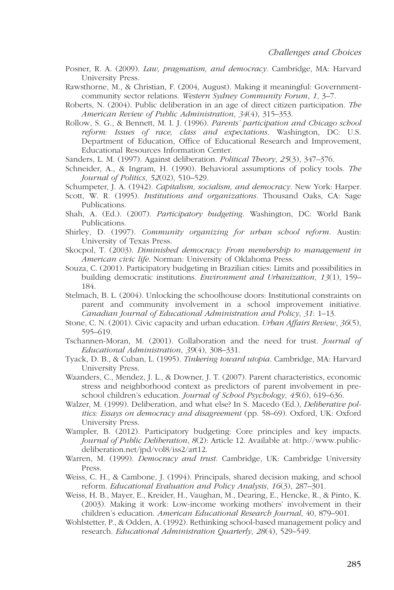- Posner, R. A. (2009). *Law, pragmatism, and democracy.* Cambridge, MA: Harvard University Press.
- Rawsthorne, M., & Christian, F. (2004, August). Making it meaningful: Governmentcommunity sector relations. Western Sydney Community Forum, 1, 3–7.
- Roberts, N. (2004). Public deliberation in an age of direct citizen participation. The American Review of Public Administration, 34(4), 315–353.
- Rollow, S. G., & Bennett, M. I. J. (1996). Parents' participation and Chicago school reform: Issues of race, class and expectations. Washington, DC: U.S. Department of Education, Office of Educational Research and Improvement, Educational Resources Information Center.
- Sanders, L. M. (1997). Against deliberation. Political Theory, 25(3), 347–376.
- Schneider, A., & Ingram, H. (1990). Behavioral assumptions of policy tools. The Journal of Politics, 52(02), 510–529.
- Schumpeter, J. A. (1942). Capitalism, socialism, and democracy. New York: Harper.
- Scott, W. R. (1995). Institutions and organizations. Thousand Oaks, CA: Sage Publications.
- Shah, A. (Ed.). (2007). Participatory budgeting. Washington, DC: World Bank Publications.
- Shirley, D. (1997). Community organizing for urban school reform. Austin: University of Texas Press.
- Skocpol, T. (2003). Diminished democracy: From membership to management in American civic life. Norman: University of Oklahoma Press.
- Souza, C. (2001). Participatory budgeting in Brazilian cities: Limits and possibilities in building democratic institutions. Environment and Urbanization, 13(1), 159– 184.
- Stelmach, B. L. (2004). Unlocking the schoolhouse doors: Institutional constraints on parent and community involvement in a school improvement initiative. Canadian Journal of Educational Administration and Policy, 31: 1–13.
- Stone, C. N. (2001). Civic capacity and urban education. Urban Affairs Review, 36(5), 595–619.
- Tschannen-Moran, M. (2001). Collaboration and the need for trust. Journal of Educational Administration, 39(4), 308–331.
- Tyack, D. B., & Cuban, L. (1995). Tinkering toward utopia. Cambridge, MA: Harvard University Press.
- Waanders, C., Mendez, J. L., & Downer, J. T. (2007). Parent characteristics, economic stress and neighborhood context as predictors of parent involvement in preschool children's education. *Journal of School Psychology*, 45(6), 619–636.
- Walzer, M. (1999). Deliberation, and what else? In S. Macedo (Ed.), Deliberative politics: Essays on democracy and disagreement (pp. 58–69). Oxford, UK: Oxford University Press.
- Wampler, B. (2012). Participatory budgeting: Core principles and key impacts. Journal of Public Deliberation, 8(2): Article 12. Available at: http://www.publicdeliberation.net/jpd/vol8/iss2/art12.
- Warren, M. (1999). Democracy and trust. Cambridge, UK: Cambridge University Press.
- Weiss, C. H., & Cambone, J. (1994). Principals, shared decision making, and school reform. Educational Evaluation and Policy Analysis, 16(3), 287–301.
- Weiss, H. B., Mayer, E., Kreider, H., Vaughan, M., Dearing, E., Hencke, R., & Pinto, K. (2003). Making it work: Low-income working mothers' involvement in their children's education. American Educational Research Journal, 40, 879–901.
- Wohlstetter, P., & Odden, A. (1992). Rethinking school-based management policy and research. Educational Administration Quarterly, 28(4), 529–549.